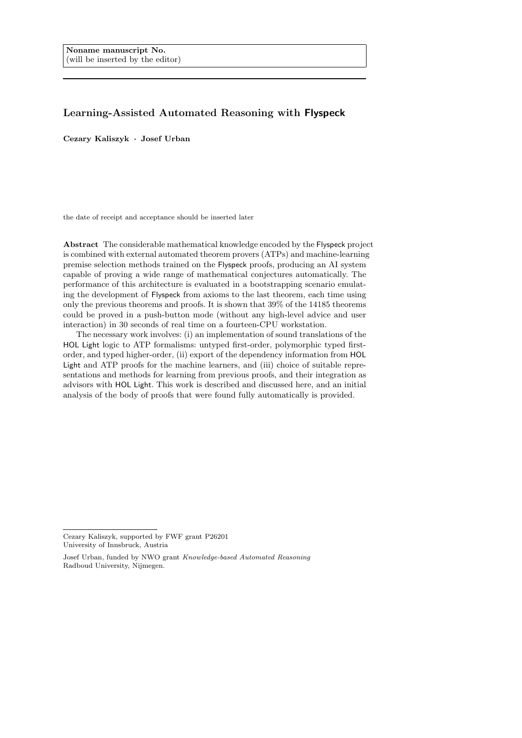# Learning-Assisted Automated Reasoning with Flyspeck

Cezary Kaliszyk · Josef Urban

the date of receipt and acceptance should be inserted later

Abstract The considerable mathematical knowledge encoded by the Flyspeck project is combined with external automated theorem provers (ATPs) and machine-learning premise selection methods trained on the Flyspeck proofs, producing an AI system capable of proving a wide range of mathematical conjectures automatically. The performance of this architecture is evaluated in a bootstrapping scenario emulating the development of Flyspeck from axioms to the last theorem, each time using only the previous theorems and proofs. It is shown that 39% of the 14185 theorems could be proved in a push-button mode (without any high-level advice and user interaction) in 30 seconds of real time on a fourteen-CPU workstation.

The necessary work involves: (i) an implementation of sound translations of the HOL Light logic to ATP formalisms: untyped first-order, polymorphic typed firstorder, and typed higher-order, (ii) export of the dependency information from HOL Light and ATP proofs for the machine learners, and (iii) choice of suitable representations and methods for learning from previous proofs, and their integration as advisors with HOL Light. This work is described and discussed here, and an initial analysis of the body of proofs that were found fully automatically is provided.

Cezary Kaliszyk, supported by FWF grant P26201 University of Innsbruck, Austria

Josef Urban, funded by NWO grant Knowledge-based Automated Reasoning Radboud University, Nijmegen.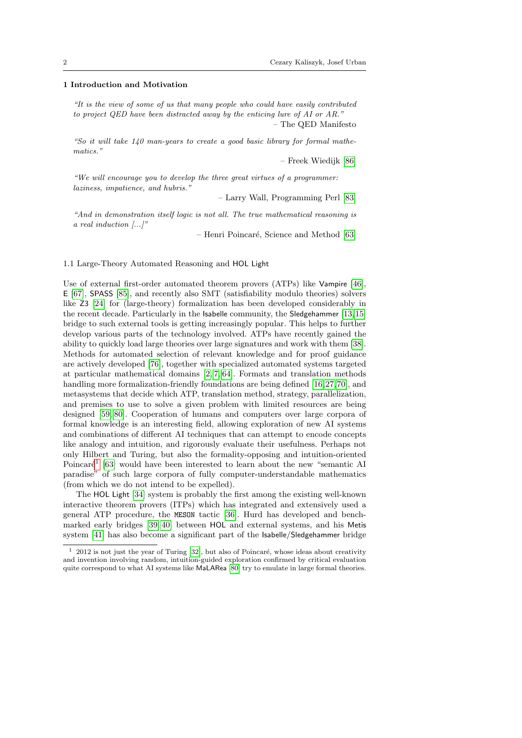#### 1 Introduction and Motivation

"It is the view of some of us that many people who could have easily contributed to project QED have been distracted away by the enticing lure of AI or AR." – The QED Manifesto

"So it will take 140 man-years to create a good basic library for formal mathematics."

– Freek Wiedijk [\[86\]](#page-41-0)

"We will encourage you to develop the three great virtues of a programmer: laziness, impatience, and hubris."

– Larry Wall, Programming Perl [\[83\]](#page-41-1)

"And in demonstration itself logic is not all. The true mathematical reasoning is a real induction  $[\ldots]$ "

– Henri Poincaré, Science and Method [\[63\]](#page-40-0)

1.1 Large-Theory Automated Reasoning and HOL Light

Use of external first-order automated theorem provers (ATPs) like Vampire [\[46\]](#page-39-0), E [\[67\]](#page-40-1), SPASS [\[85\]](#page-41-2), and recently also SMT (satisfiability modulo theories) solvers like Z3 [\[24\]](#page-38-0) for (large-theory) formalization has been developed considerably in the recent decade. Particularly in the Isabelle community, the Sledgehammer [\[13,](#page-38-1)[15\]](#page-38-2) bridge to such external tools is getting increasingly popular. This helps to further develop various parts of the technology involved. ATPs have recently gained the ability to quickly load large theories over large signatures and work with them [\[38\]](#page-39-1). Methods for automated selection of relevant knowledge and for proof guidance are actively developed [\[76\]](#page-41-3), together with specialized automated systems targeted at particular mathematical domains [\[2,](#page-37-0) [7,](#page-38-3) [64\]](#page-40-2). Formats and translation methods handling more formalization-friendly foundations are being defined [\[16,](#page-38-4)[27,](#page-39-2)[70\]](#page-40-3), and metasystems that decide which ATP, translation method, strategy, parallelization, and premises to use to solve a given problem with limited resources are being designed [\[59,](#page-40-4) [80\]](#page-41-4). Cooperation of humans and computers over large corpora of formal knowledge is an interesting field, allowing exploration of new AI systems and combinations of different AI techniques that can attempt to encode concepts like analogy and intuition, and rigorously evaluate their usefulness. Perhaps not only Hilbert and Turing, but also the formality-opposing and intuition-oriented Poincaré<sup>[1](#page-1-0)</sup> [\[63\]](#page-40-0) would have been interested to learn about the new "semantic AI paradise" of such large corpora of fully computer-understandable mathematics (from which we do not intend to be expelled).

The HOL Light [\[34\]](#page-39-3) system is probably the first among the existing well-known interactive theorem provers (ITPs) which has integrated and extensively used a general ATP procedure, the MESON tactic [\[36\]](#page-39-4). Hurd has developed and benchmarked early bridges [\[39,](#page-39-5) [40\]](#page-39-6) between HOL and external systems, and his Metis system [\[41\]](#page-39-7) has also become a significant part of the Isabelle/Sledgehammer bridge

<span id="page-1-0"></span> $1\quad 2012$  is not just the year of Turing [\[32\]](#page-39-8), but also of Poincaré, whose ideas about creativity and invention involving random, intuition-guided exploration confirmed by critical evaluation quite correspond to what AI systems like MaLARea [\[80\]](#page-41-4) try to emulate in large formal theories.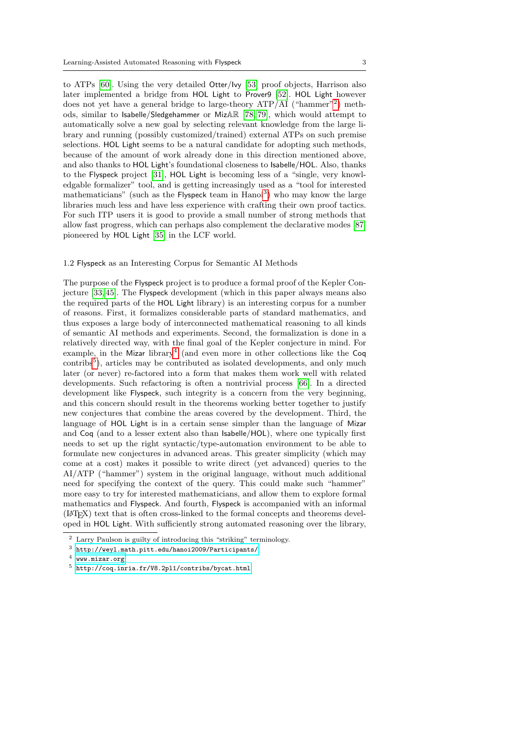to ATPs [\[60\]](#page-40-5). Using the very detailed Otter/Ivy [\[53\]](#page-40-6) proof objects, Harrison also later implemented a bridge from HOL Light to Prover9 [\[52\]](#page-40-7). HOL Light however does not yet have a general bridge to large-theory  $ATP/AI$  ("hammer"<sup>[2](#page-2-0)</sup>) methods, similar to Isabelle/Sledgehammer or MizAR [\[78,](#page-41-5) [79\]](#page-41-6), which would attempt to automatically solve a new goal by selecting relevant knowledge from the large library and running (possibly customized/trained) external ATPs on such premise selections. HOL Light seems to be a natural candidate for adopting such methods, because of the amount of work already done in this direction mentioned above, and also thanks to HOL Light's foundational closeness to Isabelle/HOL. Also, thanks to the Flyspeck project [\[31\]](#page-39-9), HOL Light is becoming less of a "single, very knowledgable formalizer" tool, and is getting increasingly used as a "tool for interested mathematicians" (such as the Flyspeck team in Hanoi<sup>[3](#page-2-1)</sup>) who may know the large libraries much less and have less experience with crafting their own proof tactics. For such ITP users it is good to provide a small number of strong methods that allow fast progress, which can perhaps also complement the declarative modes [\[87\]](#page-41-7) pioneered by HOL Light [\[35\]](#page-39-10) in the LCF world.

## 1.2 Flyspeck as an Interesting Corpus for Semantic AI Methods

The purpose of the Flyspeck project is to produce a formal proof of the Kepler Conjecture [\[33,](#page-39-11) [45\]](#page-39-12). The Flyspeck development (which in this paper always means also the required parts of the HOL Light library) is an interesting corpus for a number of reasons. First, it formalizes considerable parts of standard mathematics, and thus exposes a large body of interconnected mathematical reasoning to all kinds of semantic AI methods and experiments. Second, the formalization is done in a relatively directed way, with the final goal of the Kepler conjecture in mind. For example, in the Mizar library<sup>[4](#page-2-2)</sup> (and even more in other collections like the Coq contribs<sup>[5](#page-2-3)</sup>), articles may be contributed as isolated developments, and only much later (or never) re-factored into a form that makes them work well with related developments. Such refactoring is often a nontrivial process [\[66\]](#page-40-8). In a directed development like Flyspeck, such integrity is a concern from the very beginning, and this concern should result in the theorems working better together to justify new conjectures that combine the areas covered by the development. Third, the language of HOL Light is in a certain sense simpler than the language of Mizar and Coq (and to a lesser extent also than Isabelle/HOL), where one typically first needs to set up the right syntactic/type-automation environment to be able to formulate new conjectures in advanced areas. This greater simplicity (which may come at a cost) makes it possible to write direct (yet advanced) queries to the AI/ATP ("hammer") system in the original language, without much additional need for specifying the context of the query. This could make such "hammer" more easy to try for interested mathematicians, and allow them to explore formal mathematics and Flyspeck. And fourth, Flyspeck is accompanied with an informal (LATEX) text that is often cross-linked to the formal concepts and theorems developed in HOL Light. With sufficiently strong automated reasoning over the library,

<span id="page-2-0"></span> $^2\,$  Larry Paulson is guilty of introducing this "striking" terminology.

<span id="page-2-1"></span><sup>3</sup> <http://weyl.math.pitt.edu/hanoi2009/Participants/>

<span id="page-2-2"></span><sup>4</sup> <www.mizar.org>

<span id="page-2-3"></span><sup>5</sup> <http://coq.inria.fr/V8.2pl1/contribs/bycat.html>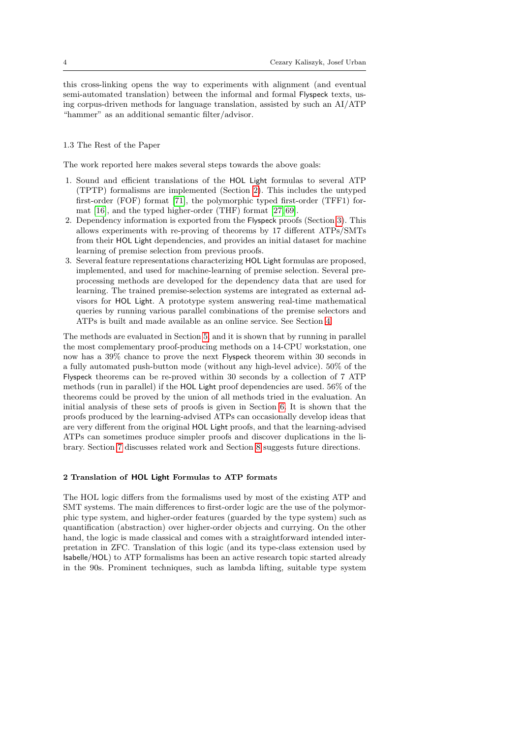this cross-linking opens the way to experiments with alignment (and eventual semi-automated translation) between the informal and formal Flyspeck texts, using corpus-driven methods for language translation, assisted by such an AI/ATP "hammer" as an additional semantic filter/advisor.

## 1.3 The Rest of the Paper

The work reported here makes several steps towards the above goals:

- 1. Sound and efficient translations of the HOL Light formulas to several ATP (TPTP) formalisms are implemented (Section [2\)](#page-3-0). This includes the untyped first-order (FOF) format [\[71\]](#page-40-9), the polymorphic typed first-order (TFF1) format [\[16\]](#page-38-4), and the typed higher-order (THF) format [\[27,](#page-39-2) [69\]](#page-40-10).
- 2. Dependency information is exported from the Flyspeck proofs (Section [3\)](#page-10-0). This allows experiments with re-proving of theorems by 17 different ATPs/SMTs from their HOL Light dependencies, and provides an initial dataset for machine learning of premise selection from previous proofs.
- 3. Several feature representations characterizing HOL Light formulas are proposed, implemented, and used for machine-learning of premise selection. Several preprocessing methods are developed for the dependency data that are used for learning. The trained premise-selection systems are integrated as external advisors for HOL Light. A prototype system answering real-time mathematical queries by running various parallel combinations of the premise selectors and ATPs is built and made available as an online service. See Section [4.](#page-13-0)

The methods are evaluated in Section [5,](#page-20-0) and it is shown that by running in parallel the most complementary proof-producing methods on a 14-CPU workstation, one now has a 39% chance to prove the next Flyspeck theorem within 30 seconds in a fully automated push-button mode (without any high-level advice). 50% of the Flyspeck theorems can be re-proved within 30 seconds by a collection of 7 ATP methods (run in parallel) if the HOL Light proof dependencies are used. 56% of the theorems could be proved by the union of all methods tried in the evaluation. An initial analysis of these sets of proofs is given in Section [6.](#page-31-0) It is shown that the proofs produced by the learning-advised ATPs can occasionally develop ideas that are very different from the original HOL Light proofs, and that the learning-advised ATPs can sometimes produce simpler proofs and discover duplications in the library. Section [7](#page-35-0) discusses related work and Section [8](#page-36-0) suggests future directions.

## <span id="page-3-0"></span>2 Translation of HOL Light Formulas to ATP formats

The HOL logic differs from the formalisms used by most of the existing ATP and SMT systems. The main differences to first-order logic are the use of the polymorphic type system, and higher-order features (guarded by the type system) such as quantification (abstraction) over higher-order objects and currying. On the other hand, the logic is made classical and comes with a straightforward intended interpretation in ZFC. Translation of this logic (and its type-class extension used by Isabelle/HOL) to ATP formalisms has been an active research topic started already in the 90s. Prominent techniques, such as lambda lifting, suitable type system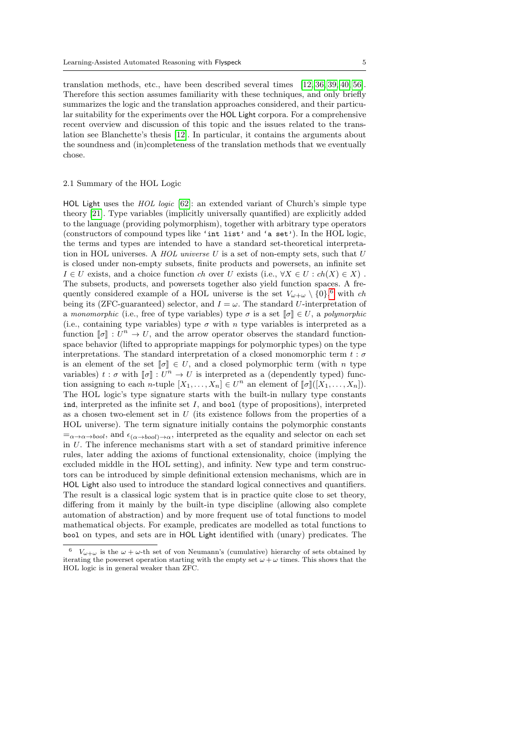translation methods, etc., have been described several times [\[12,](#page-38-5) [36,](#page-39-4) [39,](#page-39-5) [40,](#page-39-6) [56\]](#page-40-11). Therefore this section assumes familiarity with these techniques, and only briefly summarizes the logic and the translation approaches considered, and their particular suitability for the experiments over the HOL Light corpora. For a comprehensive recent overview and discussion of this topic and the issues related to the translation see Blanchette's thesis [\[12\]](#page-38-5). In particular, it contains the arguments about the soundness and (in)completeness of the translation methods that we eventually chose.

#### 2.1 Summary of the HOL Logic

HOL Light uses the HOL logic [\[62\]](#page-40-12): an extended variant of Church's simple type theory [\[21\]](#page-38-6). Type variables (implicitly universally quantified) are explicitly added to the language (providing polymorphism), together with arbitrary type operators (constructors of compound types like 'int list' and 'a set'). In the HOL logic, the terms and types are intended to have a standard set-theoretical interpretation in HOL universes. A  $HOL$  universe  $U$  is a set of non-empty sets, such that  $U$ is closed under non-empty subsets, finite products and powersets, an infinite set  $I \in U$  exists, and a choice function ch over U exists (i.e.,  $\forall X \in U : ch(X) \in X$ ). The subsets, products, and powersets together also yield function spaces. A frequently considered example of a HOL universe is the set  $V_{\omega+\omega} \setminus \{0\}^6$  $V_{\omega+\omega} \setminus \{0\}^6$  with ch being its (ZFC-guaranteed) selector, and  $I = \omega$ . The standard U-interpretation of a monomorphic (i.e., free of type variables) type  $\sigma$  is a set  $\llbracket \sigma \rrbracket \in U$ , a polymorphic (i.e., containing type variables) type  $\sigma$  with n type variables is interpreted as a function  $[\![\sigma]\!] : U^n \to U$ , and the arrow operator observes the standard function-<br>grace behavior (lifted to appropriate mappings for polymerabic types) on the type space behavior (lifted to appropriate mappings for polymorphic types) on the type interpretations. The standard interpretation of a closed monomorphic term  $t : \sigma$ is an element of the set  $\llbracket \sigma \rrbracket \in U$ , and a closed polymorphic term (with *n* type variables)  $t : \sigma$  with  $[\![\sigma]\!] : U^n \to U$  is interpreted as a (dependently typed) func-<br>tion essigning to sook n tuple  $[X] \subset U^n$  and element of  $[\![\sigma]\!]/(X \times V)$ tion assigning to each *n*-tuple  $[X_1, \ldots, X_n] \in U^n$  an element of  $[\![\sigma]\!]([X_1, \ldots, X_n])$ .<br>The HOI logic's type signature starts with the built in pullary type constants The HOL logic's type signature starts with the built-in nullary type constants ind, interpreted as the infinite set  $I$ , and bool (type of propositions), interpreted as a chosen two-element set in  $U$  (its existence follows from the properties of a HOL universe). The term signature initially contains the polymorphic constants  $=\alpha \rightarrow \alpha \rightarrow \text{bool}$ , and  $\epsilon_{(\alpha \rightarrow \text{bool})\rightarrow \alpha}$ , interpreted as the equality and selector on each set in U. The inference mechanisms start with a set of standard primitive inference rules, later adding the axioms of functional extensionality, choice (implying the excluded middle in the HOL setting), and infinity. New type and term constructors can be introduced by simple definitional extension mechanisms, which are in HOL Light also used to introduce the standard logical connectives and quantifiers. The result is a classical logic system that is in practice quite close to set theory, differing from it mainly by the built-in type discipline (allowing also complete automation of abstraction) and by more frequent use of total functions to model mathematical objects. For example, predicates are modelled as total functions to bool on types, and sets are in HOL Light identified with (unary) predicates. The

<span id="page-4-0"></span><sup>&</sup>lt;sup>6</sup>  $V_{\omega+\omega}$  is the  $\omega+\omega$ -th set of von Neumann's (cumulative) hierarchy of sets obtained by iterating the powerset operation starting with the empty set  $\omega + \omega$  times. This shows that the HOL logic is in general weaker than ZFC.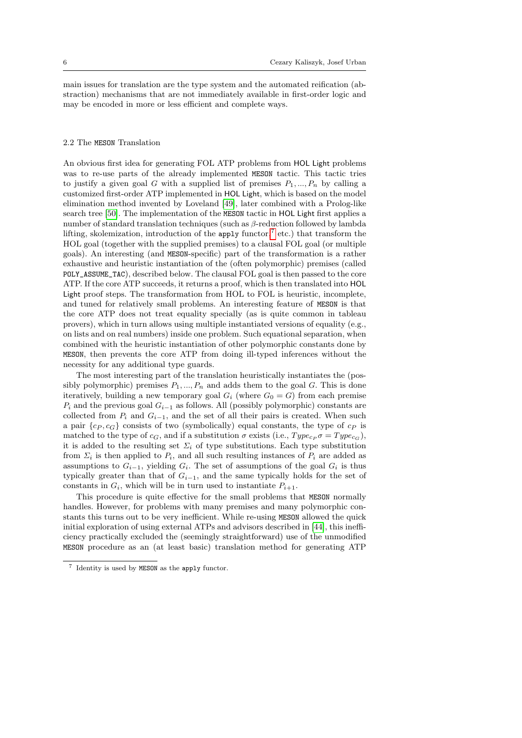main issues for translation are the type system and the automated reification (abstraction) mechanisms that are not immediately available in first-order logic and may be encoded in more or less efficient and complete ways.

## <span id="page-5-1"></span>2.2 The MESON Translation

An obvious first idea for generating FOL ATP problems from HOL Light problems was to re-use parts of the already implemented MESON tactic. This tactic tries to justify a given goal G with a supplied list of premises  $P_1, ..., P_n$  by calling a customized first-order ATP implemented in HOL Light, which is based on the model elimination method invented by Loveland [\[49\]](#page-40-13), later combined with a Prolog-like search tree [\[50\]](#page-40-14). The implementation of the MESON tactic in HOL Light first applies a number of standard translation techniques (such as β-reduction followed by lambda lifting, skolemization, introduction of the apply functor,<sup>[7](#page-5-0)</sup> etc.) that transform the HOL goal (together with the supplied premises) to a clausal FOL goal (or multiple goals). An interesting (and MESON-specific) part of the transformation is a rather exhaustive and heuristic instantiation of the (often polymorphic) premises (called POLY\_ASSUME\_TAC), described below. The clausal FOL goal is then passed to the core ATP. If the core ATP succeeds, it returns a proof, which is then translated into HOL Light proof steps. The transformation from HOL to FOL is heuristic, incomplete, and tuned for relatively small problems. An interesting feature of MESON is that the core ATP does not treat equality specially (as is quite common in tableau provers), which in turn allows using multiple instantiated versions of equality (e.g., on lists and on real numbers) inside one problem. Such equational separation, when combined with the heuristic instantiation of other polymorphic constants done by MESON, then prevents the core ATP from doing ill-typed inferences without the necessity for any additional type guards.

The most interesting part of the translation heuristically instantiates the (possibly polymorphic) premises  $P_1, ..., P_n$  and adds them to the goal G. This is done iteratively, building a new temporary goal  $G_i$  (where  $G_0 = G$ ) from each premise  $P_i$  and the previous goal  $G_{i-1}$  as follows. All (possibly polymorphic) constants are collected from  $P_i$  and  $G_{i-1}$ , and the set of all their pairs is created. When such a pair  ${c_P, c_G}$  consists of two (symbolically) equal constants, the type of  $c_P$  is matched to the type of  $c_G$ , and if a substitution  $\sigma$  exists (i.e.,  $Type_{cp} \sigma = Type_{cg}$ ), it is added to the resulting set  $\Sigma_i$  of type substitutions. Each type substitution from  $\Sigma_i$  is then applied to  $P_i$ , and all such resulting instances of  $P_i$  are added as assumptions to  $G_{i-1}$ , yielding  $G_i$ . The set of assumptions of the goal  $G_i$  is thus typically greater than that of  $G_{i-1}$ , and the same typically holds for the set of constants in  $G_i$ , which will be in turn used to instantiate  $P_{i+1}$ .

This procedure is quite effective for the small problems that MESON normally handles. However, for problems with many premises and many polymorphic constants this turns out to be very inefficient. While re-using MESON allowed the quick initial exploration of using external ATPs and advisors described in [\[44\]](#page-39-13), this inefficiency practically excluded the (seemingly straightforward) use of the unmodified MESON procedure as an (at least basic) translation method for generating ATP

<span id="page-5-0"></span> $7$  Identity is used by MESON as the apply functor.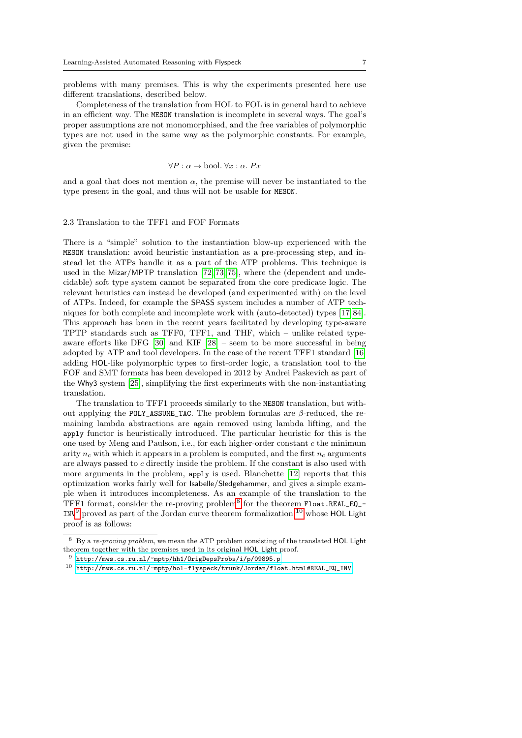problems with many premises. This is why the experiments presented here use different translations, described below.

Completeness of the translation from HOL to FOL is in general hard to achieve in an efficient way. The MESON translation is incomplete in several ways. The goal's proper assumptions are not monomorphised, and the free variables of polymorphic types are not used in the same way as the polymorphic constants. For example, given the premise:

$$
\forall P : \alpha \to \text{bool. } \forall x : \alpha. \; Px
$$

and a goal that does not mention  $\alpha$ , the premise will never be instantiated to the type present in the goal, and thus will not be usable for MESON.

## <span id="page-6-3"></span>2.3 Translation to the TFF1 and FOF Formats

There is a "simple" solution to the instantiation blow-up experienced with the MESON translation: avoid heuristic instantiation as a pre-processing step, and instead let the ATPs handle it as a part of the ATP problems. This technique is used in the Mizar/MPTP translation [\[72,](#page-41-8) [73,](#page-41-9) [75\]](#page-41-10), where the (dependent and undecidable) soft type system cannot be separated from the core predicate logic. The relevant heuristics can instead be developed (and experimented with) on the level of ATPs. Indeed, for example the SPASS system includes a number of ATP techniques for both complete and incomplete work with (auto-detected) types [\[17,](#page-38-7) [84\]](#page-41-11). This approach has been in the recent years facilitated by developing type-aware TPTP standards such as TFF0, TFF1, and THF, which – unlike related typeaware efforts like DFG [\[30\]](#page-39-14) and KIF [\[28\]](#page-39-15) – seem to be more successful in being adopted by ATP and tool developers. In the case of the recent TFF1 standard [\[16\]](#page-38-4) adding HOL-like polymorphic types to first-order logic, a translation tool to the FOF and SMT formats has been developed in 2012 by Andrei Paskevich as part of the Why3 system [\[25\]](#page-39-16), simplifying the first experiments with the non-instantiating translation.

The translation to TFF1 proceeds similarly to the MESON translation, but without applying the POLY\_ASSUME\_TAC. The problem formulas are  $\beta$ -reduced, the remaining lambda abstractions are again removed using lambda lifting, and the apply functor is heuristically introduced. The particular heuristic for this is the one used by Meng and Paulson, i.e., for each higher-order constant  $c$  the minimum arity  $n_c$  with which it appears in a problem is computed, and the first  $n_c$  arguments are always passed to c directly inside the problem. If the constant is also used with more arguments in the problem, apply is used. Blanchette [\[12\]](#page-38-5) reports that this optimization works fairly well for Isabelle/Sledgehammer, and gives a simple example when it introduces incompleteness. As an example of the translation to the TFF1 format, consider the re-proving problem<sup>[8](#page-6-0)</sup> for the theorem Float.REAL\_EQ\_- $IW<sup>9</sup>$  $IW<sup>9</sup>$  $IW<sup>9</sup>$  proved as part of the Jordan curve theorem formalization,  $10$  whose HOL Light proof is as follows:

<span id="page-6-0"></span> $^8\,$  By a *re-proving problem*, we mean the ATP problem consisting of the translated HOL Light theorem together with the premises used in its original HOL Light proof.

<span id="page-6-1"></span><sup>9</sup> <http://mws.cs.ru.nl/~mptp/hh1/OrigDepsProbs/i/p/09895.p>

<span id="page-6-2"></span> $^{10}\,$ [http://mws.cs.ru.nl/~mptp/hol-flyspeck/trunk/Jordan/float.html#REAL\\_EQ\\_INV](http://mws.cs.ru.nl/~mptp/hol-flyspeck/trunk/Jordan/float.html#REAL_EQ_INV)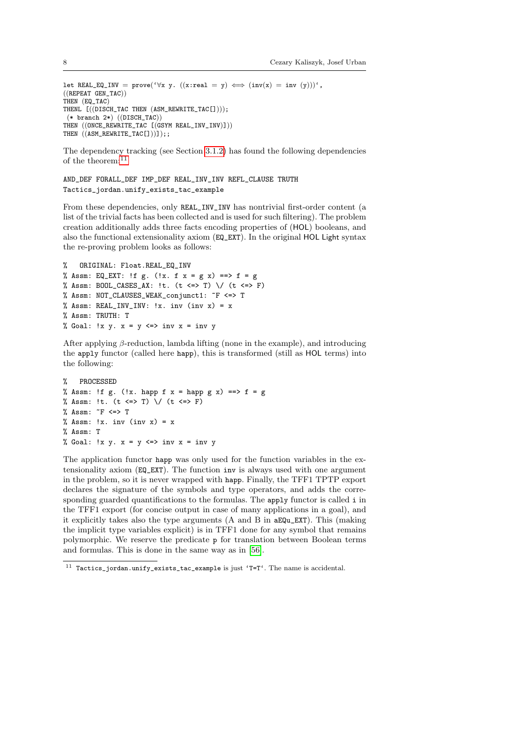```
let REAL_EQ_INV = prove('\forall x \ y. ((x:real = y) \iff (inv(x) = inv (y)))',
((REPEAT GEN TAC))THEN (EQ_TAC)
THENL [((DISCH_TAC THEN (ASM_REWRITE_TAC[])));
 (* branch 2*) ((DISCH_TAC))
THEN ((ONCE\_REWRITE_TAC [ (GSYM REAL_INV_INV)])THEN ((ASM\_REWRITE\_TAC[]))];;
```
The dependency tracking (see Section [3.1.2\)](#page-12-0) has found the following dependencies of the theorem: $^{11}$  $^{11}$  $^{11}$ 

```
AND_DEF FORALL_DEF IMP_DEF REAL_INV_INV REFL_CLAUSE TRUTH
Tactics_jordan.unify_exists_tac_example
```
From these dependencies, only REAL\_INV\_INV has nontrivial first-order content (a list of the trivial facts has been collected and is used for such filtering). The problem creation additionally adds three facts encoding properties of (HOL) booleans, and also the functional extensionality axiom (EQ\_EXT). In the original HOL Light syntax the re-proving problem looks as follows:

```
% ORIGINAL: Float.REAL_EQ_INV
% Assm: EQ_EXT: !f g. (!x. f x = g x) == > f = g% Assm: BOOL CASES AX: !t. (t <=> T) \setminus (t <=> F)
% Assm: NOT_CLAUSES_WEAK_conjunct1: ~F <=> T
% Assm: REAL_INV_INV: !x. inv (inv x) = x
% Assm: TRUTH: T
% Goal: !x \, y. x = y \iff inv x = inv y
```
After applying  $\beta$ -reduction, lambda lifting (none in the example), and introducing the apply functor (called here happ), this is transformed (still as HOL terms) into the following:

```
% PROCESSED
% Assm: !f g. (!x. happ f x = happ g x) ==> f = g
% Assm: !t. (t \leq > T) \setminus (t \leq > F)% Assm: \tilde{F} <=> T
% Assm: !x. inv (inv x) = x% Assm: T
% Goal: !x \ y. x = y \iff inv x = inv y
```
The application functor happ was only used for the function variables in the extensionality axiom (EQ\_EXT). The function inv is always used with one argument in the problem, so it is never wrapped with happ. Finally, the TFF1 TPTP export declares the signature of the symbols and type operators, and adds the corresponding guarded quantifications to the formulas. The apply functor is called i in the TFF1 export (for concise output in case of many applications in a goal), and it explicitly takes also the type arguments (A and B in aEQu\_EXT). This (making the implicit type variables explicit) is in TFF1 done for any symbol that remains polymorphic. We reserve the predicate p for translation between Boolean terms and formulas. This is done in the same way as in [\[56\]](#page-40-11).

<span id="page-7-0"></span> $11$  Tactics\_jordan.unify\_exists\_tac\_example is just 'T=T'. The name is accidental.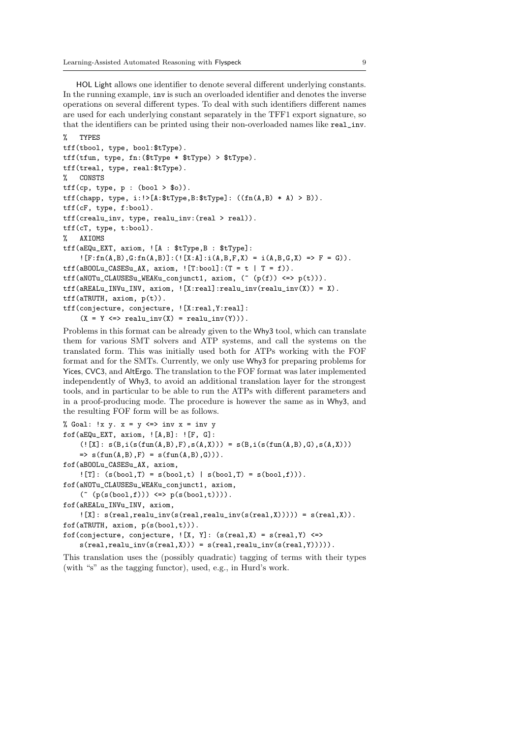HOL Light allows one identifier to denote several different underlying constants. In the running example, inv is such an overloaded identifier and denotes the inverse operations on several different types. To deal with such identifiers different names are used for each underlying constant separately in the TFF1 export signature, so that the identifiers can be printed using their non-overloaded names like real\_inv.

```
% TYPES
tff(tbool, type, bool:$tType).
tff(tfun, type, fn:($tType * $tType) > $tType).
tff(treal, type, real:$tType).
% CONSTS
\text{tf}(cp, type, p : (bool > $o)).\text{tf}(\text{chapp, type, } i:!)[A:\text{tf}(X,Y)]: ((fn(A,B) * A) > B)).tff(cF, type, f:bool).
tff(crealu_inv, type, realu_inv:(real > real)).
tff(cT, type, t:bool).
% AXIOMS
tff(aEQu_EXT, axiom, ![A : $tType,B : $tType]:
    : [F:fn(A,B),G:fn(A,B)] : (![X:A]:i(A,B,F,X) = i(A,B,G,X) \implies F = G).\text{tf(aB00Lu_CASESu_AX, axiom, } [T:bool] : (T = t | T = f)).tff(aNOTu_CLAUSESu_WEAKu_conjunct1, axiom, (~ (p(f)) <=> p(t))).
\text{tf}(\text{aREALu\_INVu\_INV}, \text{axiom}, ![X:real]:\text{realu\_inv}(\text{realu\_inv}(X)) = X).tff(aTRUTH, axiom, p(t)).
tff(conjecture, conjecture, ![X:real,Y:real]:
    (X = Y \iff \text{realu\_inv}(X) = \text{realu\_inv}(Y)).
```
Problems in this format can be already given to the Why3 tool, which can translate them for various SMT solvers and ATP systems, and call the systems on the translated form. This was initially used both for ATPs working with the FOF format and for the SMTs. Currently, we only use Why3 for preparing problems for Yices, CVC3, and AltErgo. The translation to the FOF format was later implemented independently of Why3, to avoid an additional translation layer for the strongest tools, and in particular to be able to run the ATPs with different parameters and in a proof-producing mode. The procedure is however the same as in Why3, and the resulting FOF form will be as follows.

```
% Goal: !x y. x = y \iff inv x = inv yfof(aEQu_EXT, axiom, ![A,B]: ![F, G]:
    (![X]: s(B, i(s(fun(A, B), F), s(A, X))) = s(B, i(s(fun(A, B), G), s(A, X)))\Rightarrow s(fun(A,B),F) = s(fun(A,B),G))).fof(aBOOLu_CASESu_AX, axiom,
    ! [T]: (s(bool,T) = s(bool,t) | s(bool,T) = s(bool,f)).fof(aNOTu_CLAUSESu_WEAKu_conjunct1, axiom,
    ( \text{`` } (p(s(bool,f))) \iff p(s(bool,t)))).
fof(aREALu_INVu_INV, axiom,
    \lbrack X \rbrack: s(real,realu_inv(s(real,realu_inv(s(real,X))))) = s(real,X)).
fof(aTRUTH, axiom, p(s(bool,t))).
fof(conjecture, conjecture, \lbrack X, Y \rbrack: (s(real,X) = s(real,Y) <=>
    s(real,real_iinv(s(real,X))) = s(real,real_iinv(s(real,Y)))).
```
This translation uses the (possibly quadratic) tagging of terms with their types (with "s" as the tagging functor), used, e.g., in Hurd's work.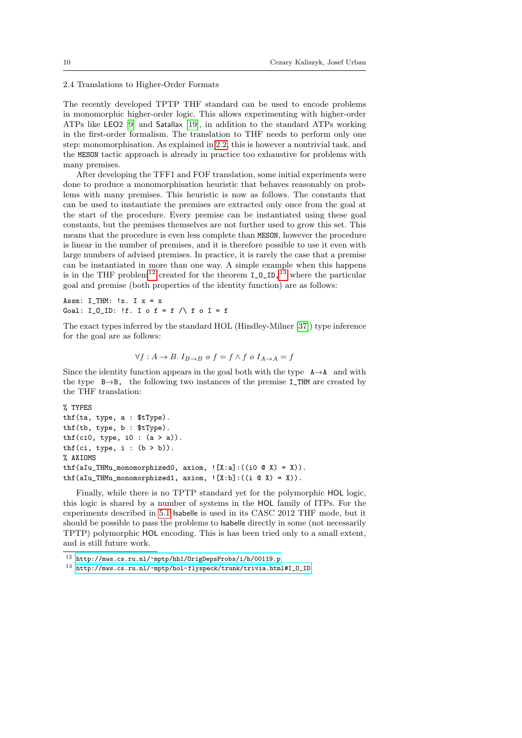2.4 Translations to Higher-Order Formats

The recently developed TPTP THF standard can be used to encode problems in monomorphic higher-order logic. This allows experimenting with higher-order ATPs like LEO2 [\[9\]](#page-38-8) and Satallax [\[19\]](#page-38-9), in addition to the standard ATPs working in the first-order formalism. The translation to THF needs to perform only one step: monomorphisation. As explained in [2.2,](#page-5-1) this is however a nontrivial task, and the MESON tactic approach is already in practice too exhaustive for problems with many premises.

After developing the TFF1 and FOF translation, some initial experiments were done to produce a monomorphisation heuristic that behaves reasonably on problems with many premises. This heuristic is now as follows. The constants that can be used to instantiate the premises are extracted only once from the goal at the start of the procedure. Every premise can be instantiated using these goal constants, but the premises themselves are not further used to grow this set. This means that the procedure is even less complete than MESON, however the procedure is linear in the number of premises, and it is therefore possible to use it even with large numbers of advised premises. In practice, it is rarely the case that a premise can be instantiated in more than one way. A simple example when this happens is in the THF problem<sup>[12](#page-9-0)</sup> created for the theorem  $I_0_I^{13}$  $I_0_I^{13}$  $I_0_I^{13}$  where the particular goal and premise (both properties of the identity function) are as follows:

Assm: I\_THM: !x. I x = x Goal: I\_O\_ID: !f. I o f = f  $\land$  f o I = f

The exact types inferred by the standard HOL (Hindley-Milner [\[37\]](#page-39-17)) type inference for the goal are as follows:

$$
\forall f: A \to B. \ I_{B \to B} \ o \ f = f \land f \ o \ I_{A \to A} = f
$$

Since the identity function appears in the goal both with the type  $A \rightarrow A$  and with the type  $B \rightarrow B$ , the following two instances of the premise I\_THM are created by the THF translation:

```
% TYPES
thf(ta, type, a : $tType).
thf(tb, type, b : $tType).
thf(ci0, type, i0 : (a > a)).
thf(ci, type, i : (b > b)).
% AXIOMS
thf(aIu_THMu_monomorphized0, axiom, ![X:a]:((i0 @ X) = X)).
thf(alu_THMu_monomorphized1, axiom, <math>![X:b] : ((i \& X) = X)).
```
Finally, while there is no TPTP standard yet for the polymorphic HOL logic, this logic is shared by a number of systems in the HOL family of ITPs. For the experiments described in [5.1](#page-22-0) Isabelle is used in its CASC 2012 THF mode, but it should be possible to pass the problems to Isabelle directly in some (not necessarily TPTP) polymorphic HOL encoding. This is has been tried only to a small extent, and is still future work.

<span id="page-9-0"></span> $^{12}$ <http://mws.cs.ru.nl/~mptp/hh1/OrigDepsProbs/i/h/00119.p>

<span id="page-9-1"></span> $^{13}$ http://mws.cs.ru.nl/~mptp/hol-flyspeck/trunk/trivia.html#I\_0\_ID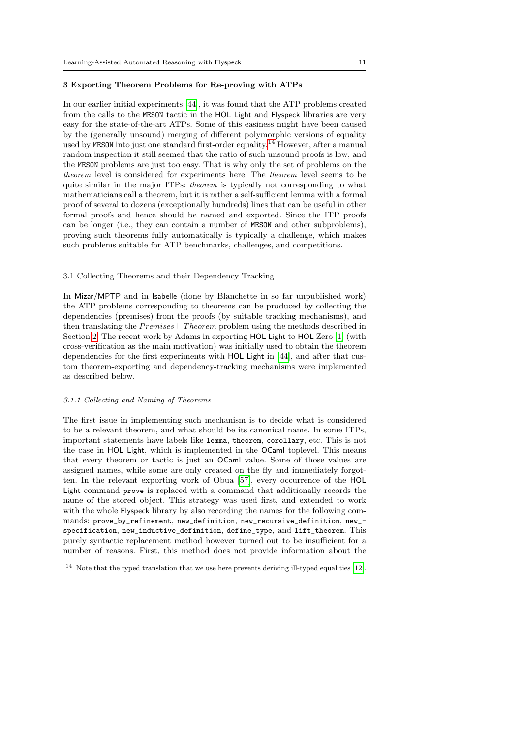#### <span id="page-10-0"></span>3 Exporting Theorem Problems for Re-proving with ATPs

In our earlier initial experiments [\[44\]](#page-39-13), it was found that the ATP problems created from the calls to the MESON tactic in the HOL Light and Flyspeck libraries are very easy for the state-of-the-art ATPs. Some of this easiness might have been caused by the (generally unsound) merging of different polymorphic versions of equality used by MESON into just one standard first-order equality.<sup>[14](#page-10-1)</sup> However, after a manual random inspection it still seemed that the ratio of such unsound proofs is low, and the MESON problems are just too easy. That is why only the set of problems on the theorem level is considered for experiments here. The theorem level seems to be quite similar in the major ITPs: *theorem* is typically not corresponding to what mathematicians call a theorem, but it is rather a self-sufficient lemma with a formal proof of several to dozens (exceptionally hundreds) lines that can be useful in other formal proofs and hence should be named and exported. Since the ITP proofs can be longer (i.e., they can contain a number of MESON and other subproblems), proving such theorems fully automatically is typically a challenge, which makes such problems suitable for ATP benchmarks, challenges, and competitions.

## 3.1 Collecting Theorems and their Dependency Tracking

In Mizar/MPTP and in Isabelle (done by Blanchette in so far unpublished work) the ATP problems corresponding to theorems can be produced by collecting the dependencies (premises) from the proofs (by suitable tracking mechanisms), and then translating the  $Premises \vdash Theorem$  problem using the methods described in Section [2.](#page-3-0) The recent work by Adams in exporting HOL Light to HOL Zero [\[1\]](#page-37-1) (with cross-verification as the main motivation) was initially used to obtain the theorem dependencies for the first experiments with HOL Light in [\[44\]](#page-39-13), and after that custom theorem-exporting and dependency-tracking mechanisms were implemented as described below.

#### 3.1.1 Collecting and Naming of Theorems

The first issue in implementing such mechanism is to decide what is considered to be a relevant theorem, and what should be its canonical name. In some ITPs, important statements have labels like lemma, theorem, corollary, etc. This is not the case in HOL Light, which is implemented in the OCaml toplevel. This means that every theorem or tactic is just an OCaml value. Some of those values are assigned names, while some are only created on the fly and immediately forgotten. In the relevant exporting work of Obua [\[57\]](#page-40-15), every occurrence of the HOL Light command prove is replaced with a command that additionally records the name of the stored object. This strategy was used first, and extended to work with the whole Flyspeck library by also recording the names for the following commands: prove\_by\_refinement, new\_definition, new\_recursive\_definition, new\_ specification, new\_inductive\_definition, define\_type, and lift\_theorem. This purely syntactic replacement method however turned out to be insufficient for a number of reasons. First, this method does not provide information about the

<span id="page-10-1"></span> $14$  Note that the typed translation that we use here prevents deriving ill-typed equalities [\[12\]](#page-38-5).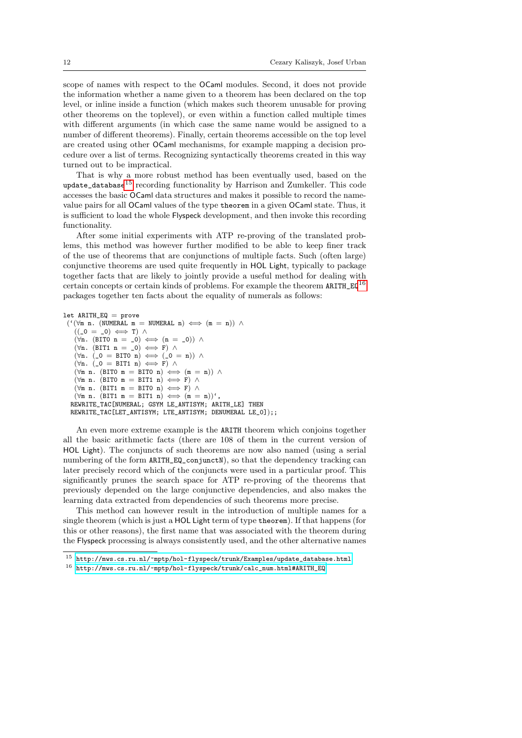scope of names with respect to the OCaml modules. Second, it does not provide the information whether a name given to a theorem has been declared on the top level, or inline inside a function (which makes such theorem unusable for proving other theorems on the toplevel), or even within a function called multiple times with different arguments (in which case the same name would be assigned to a number of different theorems). Finally, certain theorems accessible on the top level are created using other OCaml mechanisms, for example mapping a decision procedure over a list of terms. Recognizing syntactically theorems created in this way turned out to be impractical.

That is why a more robust method has been eventually used, based on the  $u$ pdate\_database<sup>[15](#page-11-0)</sup> recording functionality by Harrison and Zumkeller. This code accesses the basic OCaml data structures and makes it possible to record the namevalue pairs for all OCaml values of the type theorem in a given OCaml state. Thus, it is sufficient to load the whole Flyspeck development, and then invoke this recording functionality.

After some initial experiments with ATP re-proving of the translated problems, this method was however further modified to be able to keep finer track of the use of theorems that are conjunctions of multiple facts. Such (often large) conjunctive theorems are used quite frequently in HOL Light, typically to package together facts that are likely to jointly provide a useful method for dealing with certain concepts or certain kinds of problems. For example the theorem  $ARITH_EQ^{16}$  $ARITH_EQ^{16}$  $ARITH_EQ^{16}$ packages together ten facts about the equality of numerals as follows:

```
let ARITH_EQ = prove
 ({}^{\prime} (\forallm n. (NUMERAL m = NUMERAL n) \iff (m = n)) \land((0 = 0) \Leftrightarrow T) \wedge(\forall n. (BITO n = 0) \iff (n = 0)) ∧
    (\forall n. (BIT1 n = 0) \iff F) \land(\forall n. (_0 = BITO n) \iff (_0 = n)) \land(\forall n. \ (\_0 = BIT1 \ n) \iff F) \land(\forall m \; n. \; (BIT0 \; m = BIT0 \; n) \iff (m = n)) \; \wedge(\forall m \ n. \ (BIT0 \ m = BIT1 \ n) \iff F) \land(\forall m \; n. \; (BIT1 \; m = BIT0 \; n) \iff F) \; \wedge(\forall m \; n. \; (BIT1 \; m = BIT1 \; n) \iff (m = n))',
  REWRITE_TAC[NUMERAL; GSYM LE_ANTISYM; ARITH_LE] THEN
  REWRITE_TAC[LET_ANTISYM; LTE_ANTISYM; DENUMERAL LE_0]);;
```
An even more extreme example is the ARITH theorem which conjoins together all the basic arithmetic facts (there are 108 of them in the current version of HOL Light). The conjuncts of such theorems are now also named (using a serial numbering of the form ARITH\_EQ\_conjunctN), so that the dependency tracking can later precisely record which of the conjuncts were used in a particular proof. This significantly prunes the search space for ATP re-proving of the theorems that previously depended on the large conjunctive dependencies, and also makes the learning data extracted from dependencies of such theorems more precise.

This method can however result in the introduction of multiple names for a single theorem (which is just a HOL Light term of type theorem). If that happens (for this or other reasons), the first name that was associated with the theorem during the Flyspeck processing is always consistently used, and the other alternative names

<span id="page-11-0"></span> $^{15}\,$ [http://mws.cs.ru.nl/~mptp/hol-flyspeck/trunk/Examples/update\\_database.html](http://mws.cs.ru.nl/~mptp/hol-flyspeck/trunk/Examples/update_database.html)

<span id="page-11-1"></span> $^{16}$ [http://mws.cs.ru.nl/~mptp/hol-flyspeck/trunk/calc\\_num.html#ARITH\\_EQ](http://mws.cs.ru.nl/~mptp/hol-flyspeck/trunk/calc_num.html#ARITH_EQ)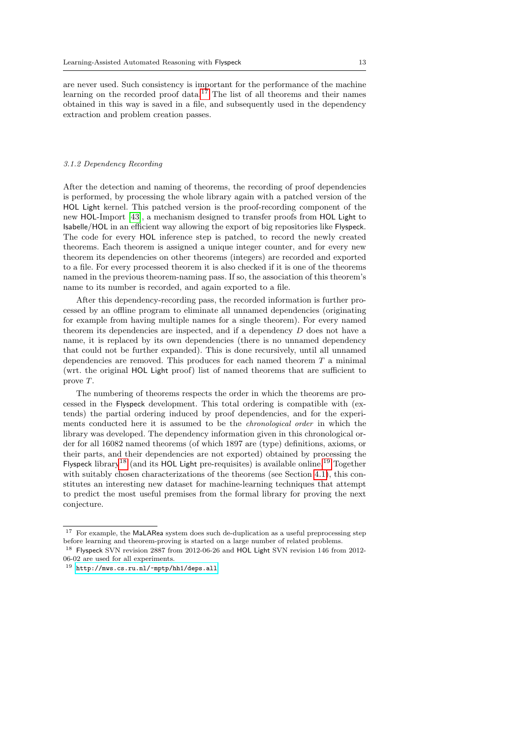are never used. Such consistency is important for the performance of the machine learning on the recorded proof data.<sup>[17](#page-12-1)</sup> The list of all theorems and their names obtained in this way is saved in a file, and subsequently used in the dependency extraction and problem creation passes.

#### <span id="page-12-0"></span>3.1.2 Dependency Recording

After the detection and naming of theorems, the recording of proof dependencies is performed, by processing the whole library again with a patched version of the HOL Light kernel. This patched version is the proof-recording component of the new HOL-Import [\[43\]](#page-39-18), a mechanism designed to transfer proofs from HOL Light to Isabelle/HOL in an efficient way allowing the export of big repositories like Flyspeck. The code for every HOL inference step is patched, to record the newly created theorems. Each theorem is assigned a unique integer counter, and for every new theorem its dependencies on other theorems (integers) are recorded and exported to a file. For every processed theorem it is also checked if it is one of the theorems named in the previous theorem-naming pass. If so, the association of this theorem's name to its number is recorded, and again exported to a file.

After this dependency-recording pass, the recorded information is further processed by an offline program to eliminate all unnamed dependencies (originating for example from having multiple names for a single theorem). For every named theorem its dependencies are inspected, and if a dependency D does not have a name, it is replaced by its own dependencies (there is no unnamed dependency that could not be further expanded). This is done recursively, until all unnamed dependencies are removed. This produces for each named theorem  $T$  a minimal (wrt. the original HOL Light proof) list of named theorems that are sufficient to prove T.

The numbering of theorems respects the order in which the theorems are processed in the Flyspeck development. This total ordering is compatible with (extends) the partial ordering induced by proof dependencies, and for the experiments conducted here it is assumed to be the chronological order in which the library was developed. The dependency information given in this chronological order for all 16082 named theorems (of which 1897 are (type) definitions, axioms, or their parts, and their dependencies are not exported) obtained by processing the Flyspeck library<sup>[18](#page-12-2)</sup> (and its HOL Light pre-requisites) is available online.<sup>[19](#page-12-3)</sup> Together with suitably chosen characterizations of the theorems (see Section [4.1\)](#page-15-0), this constitutes an interesting new dataset for machine-learning techniques that attempt to predict the most useful premises from the formal library for proving the next conjecture.

<span id="page-12-1"></span> $^{17}\,$  For example, the MaLARea system does such de-duplication as a useful preprocessing step before learning and theorem-proving is started on a large number of related problems.

<span id="page-12-2"></span><sup>18</sup> Flyspeck SVN revision 2887 from 2012-06-26 and HOL Light SVN revision 146 from 2012- 06-02 are used for all experiments.

<span id="page-12-3"></span><sup>19</sup> <http://mws.cs.ru.nl/~mptp/hh1/deps.all>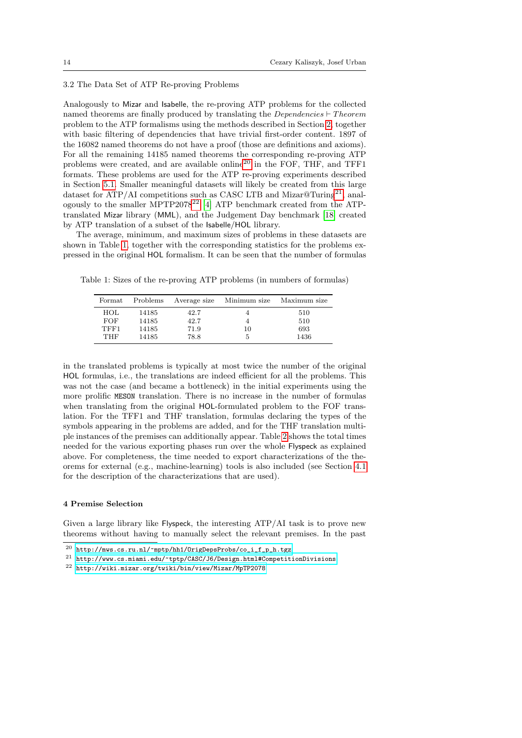## 3.2 The Data Set of ATP Re-proving Problems

Analogously to Mizar and Isabelle, the re-proving ATP problems for the collected named theorems are finally produced by translating the *Dependencies*  $\vdash Theorem$ problem to the ATP formalisms using the methods described in Section [2,](#page-3-0) together with basic filtering of dependencies that have trivial first-order content. 1897 of the 16082 named theorems do not have a proof (those are definitions and axioms). For all the remaining 14185 named theorems the corresponding re-proving ATP problems were created, and are available online<sup>[20](#page-13-1)</sup> in the FOF, THF, and TFF1 formats. These problems are used for the ATP re-proving experiments described in Section [5.1.](#page-22-0) Smaller meaningful datasets will likely be created from this large dataset for ATP/AI competitions such as CASC LTB and Mizar@Turing<sup>[21](#page-13-2)</sup>, anal-ogously to the smaller MPTP2078<sup>[22](#page-13-3)</sup> [\[4\]](#page-38-10) ATP benchmark created from the ATPtranslated Mizar library (MML), and the Judgement Day benchmark [\[18\]](#page-38-11) created by ATP translation of a subset of the Isabelle/HOL library.

The average, minimum, and maximum sizes of problems in these datasets are shown in Table [1,](#page-13-4) together with the corresponding statistics for the problems expressed in the original HOL formalism. It can be seen that the number of formulas

<span id="page-13-4"></span>

| Table 1: Sizes of the re-proving ATP problems (in numbers of formulas) |  |  |  |  |  |  |  |  |  |  |  |  |  |
|------------------------------------------------------------------------|--|--|--|--|--|--|--|--|--|--|--|--|--|
|------------------------------------------------------------------------|--|--|--|--|--|--|--|--|--|--|--|--|--|

| Format | Problems | Average size | Minimum size | Maximum size |
|--------|----------|--------------|--------------|--------------|
| HOL    | 14185    | 42.7         |              | 510          |
| FOF    | 14185    | 42.7         |              | 510          |
| TFF1   | 14185    | 71.9         | 10           | 693          |
| THF    | 14185    | 78.8         | 5            | 1436         |

in the translated problems is typically at most twice the number of the original HOL formulas, i.e., the translations are indeed efficient for all the problems. This was not the case (and became a bottleneck) in the initial experiments using the more prolific MESON translation. There is no increase in the number of formulas when translating from the original HOL-formulated problem to the FOF translation. For the TFF1 and THF translation, formulas declaring the types of the symbols appearing in the problems are added, and for the THF translation multiple instances of the premises can additionally appear. Table [2](#page-14-0) shows the total times needed for the various exporting phases run over the whole Flyspeck as explained above. For completeness, the time needed to export characterizations of the theorems for external (e.g., machine-learning) tools is also included (see Section [4.1](#page-15-0) for the description of the characterizations that are used).

## <span id="page-13-0"></span>4 Premise Selection

Given a large library like Flyspeck, the interesting ATP/AI task is to prove new theorems without having to manually select the relevant premises. In the past

<span id="page-13-1"></span> $^{20}$  [http://mws.cs.ru.nl/~mptp/hh1/OrigDepsProbs/co\\_i\\_f\\_p\\_h.tgz](http://mws.cs.ru.nl/~mptp/hh1/OrigDepsProbs/co_i_f_p_h.tgz)

<span id="page-13-2"></span> $^{21}\,$ <http://www.cs.miami.edu/~tptp/CASC/J6/Design.html#CompetitionDivisions>

<span id="page-13-3"></span><sup>22</sup> <http://wiki.mizar.org/twiki/bin/view/Mizar/MpTP2078>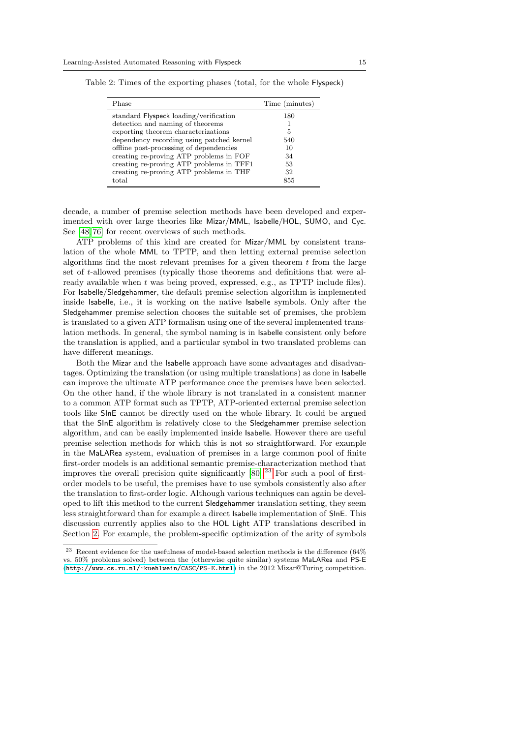| Phase                                     | Time (minutes) |
|-------------------------------------------|----------------|
| standard Flyspeck loading/verification    | 180            |
| detection and naming of theorems          |                |
| exporting theorem characterizations       | 5              |
| dependency recording using patched kernel | 540            |
| offline post-processing of dependencies   | 10             |
| creating re-proving ATP problems in FOF   | 34             |
| creating re-proving ATP problems in TFF1  | 53             |
| creating re-proving ATP problems in THF   | 32             |
| total                                     | 855            |

<span id="page-14-0"></span>Table 2: Times of the exporting phases (total, for the whole Flyspeck)

decade, a number of premise selection methods have been developed and experimented with over large theories like Mizar/MML, Isabelle/HOL, SUMO, and Cyc. See [\[48,](#page-40-16) [76\]](#page-41-3) for recent overviews of such methods.

ATP problems of this kind are created for Mizar/MML by consistent translation of the whole MML to TPTP, and then letting external premise selection algorithms find the most relevant premises for a given theorem  $t$  from the large set of t-allowed premises (typically those theorems and definitions that were already available when t was being proved, expressed, e.g., as TPTP include files). For Isabelle/Sledgehammer, the default premise selection algorithm is implemented inside Isabelle, i.e., it is working on the native Isabelle symbols. Only after the Sledgehammer premise selection chooses the suitable set of premises, the problem is translated to a given ATP formalism using one of the several implemented translation methods. In general, the symbol naming is in Isabelle consistent only before the translation is applied, and a particular symbol in two translated problems can have different meanings.

Both the Mizar and the Isabelle approach have some advantages and disadvantages. Optimizing the translation (or using multiple translations) as done in Isabelle can improve the ultimate ATP performance once the premises have been selected. On the other hand, if the whole library is not translated in a consistent manner to a common ATP format such as TPTP, ATP-oriented external premise selection tools like SInE cannot be directly used on the whole library. It could be argued that the SInE algorithm is relatively close to the Sledgehammer premise selection algorithm, and can be easily implemented inside Isabelle. However there are useful premise selection methods for which this is not so straightforward. For example in the MaLARea system, evaluation of premises in a large common pool of finite first-order models is an additional semantic premise-characterization method that improves the overall precision quite significantly  $[80]$ .<sup>[23](#page-14-1)</sup> For such a pool of firstorder models to be useful, the premises have to use symbols consistently also after the translation to first-order logic. Although various techniques can again be developed to lift this method to the current Sledgehammer translation setting, they seem less straightforward than for example a direct Isabelle implementation of SInE. This discussion currently applies also to the HOL Light ATP translations described in Section [2.](#page-3-0) For example, the problem-specific optimization of the arity of symbols

<span id="page-14-1"></span><sup>&</sup>lt;sup>23</sup> Recent evidence for the usefulness of model-based selection methods is the difference  $(64\%$ vs. 50% problems solved) between the (otherwise quite similar) systems MaLARea and PS-E (<http://www.cs.ru.nl/~kuehlwein/CASC/PS-E.html>) in the 2012 Mizar@Turing competition.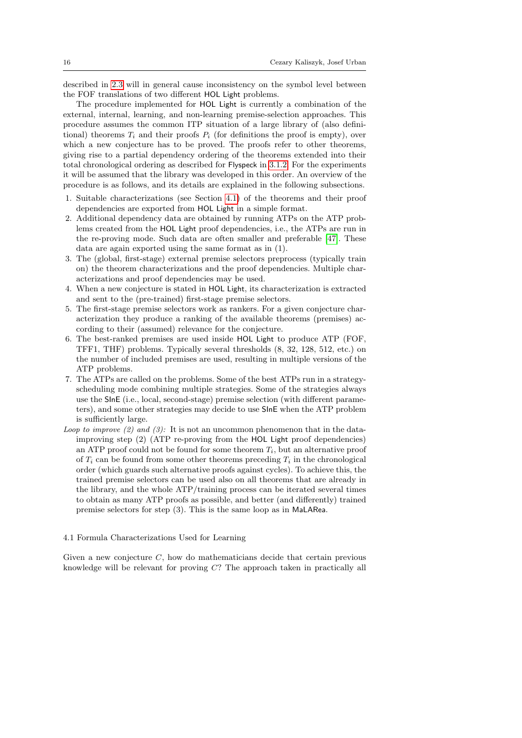described in [2.3](#page-6-3) will in general cause inconsistency on the symbol level between the FOF translations of two different HOL Light problems.

The procedure implemented for HOL Light is currently a combination of the external, internal, learning, and non-learning premise-selection approaches. This procedure assumes the common ITP situation of a large library of (also definitional) theorems  $T_i$  and their proofs  $P_i$  (for definitions the proof is empty), over which a new conjecture has to be proved. The proofs refer to other theorems, giving rise to a partial dependency ordering of the theorems extended into their total chronological ordering as described for Flyspeck in [3.1.2.](#page-12-0) For the experiments it will be assumed that the library was developed in this order. An overview of the procedure is as follows, and its details are explained in the following subsections.

- 1. Suitable characterizations (see Section [4.1\)](#page-15-0) of the theorems and their proof dependencies are exported from HOL Light in a simple format.
- 2. Additional dependency data are obtained by running ATPs on the ATP problems created from the HOL Light proof dependencies, i.e., the ATPs are run in the re-proving mode. Such data are often smaller and preferable [\[47\]](#page-40-17). These data are again exported using the same format as in (1).
- 3. The (global, first-stage) external premise selectors preprocess (typically train on) the theorem characterizations and the proof dependencies. Multiple characterizations and proof dependencies may be used.
- 4. When a new conjecture is stated in HOL Light, its characterization is extracted and sent to the (pre-trained) first-stage premise selectors.
- 5. The first-stage premise selectors work as rankers. For a given conjecture characterization they produce a ranking of the available theorems (premises) according to their (assumed) relevance for the conjecture.
- 6. The best-ranked premises are used inside HOL Light to produce ATP (FOF, TFF1, THF) problems. Typically several thresholds (8, 32, 128, 512, etc.) on the number of included premises are used, resulting in multiple versions of the ATP problems.
- 7. The ATPs are called on the problems. Some of the best ATPs run in a strategyscheduling mode combining multiple strategies. Some of the strategies always use the SInE (i.e., local, second-stage) premise selection (with different parameters), and some other strategies may decide to use SInE when the ATP problem is sufficiently large.
- Loop to improve (2) and (3): It is not an uncommon phenomenon that in the dataimproving step (2) (ATP re-proving from the HOL Light proof dependencies) an ATP proof could not be found for some theorem  $T_i$ , but an alternative proof of  $T_i$  can be found from some other theorems preceding  $T_i$  in the chronological order (which guards such alternative proofs against cycles). To achieve this, the trained premise selectors can be used also on all theorems that are already in the library, and the whole ATP/training process can be iterated several times to obtain as many ATP proofs as possible, and better (and differently) trained premise selectors for step (3). This is the same loop as in MaLARea.

#### <span id="page-15-0"></span>4.1 Formula Characterizations Used for Learning

Given a new conjecture C, how do mathematicians decide that certain previous knowledge will be relevant for proving C? The approach taken in practically all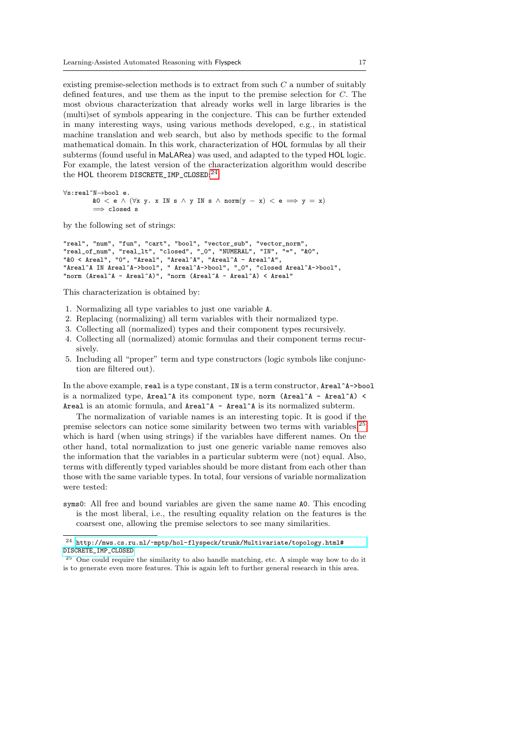existing premise-selection methods is to extract from such C a number of suitably defined features, and use them as the input to the premise selection for C. The most obvious characterization that already works well in large libraries is the (multi)set of symbols appearing in the conjecture. This can be further extended in many interesting ways, using various methods developed, e.g., in statistical machine translation and web search, but also by methods specific to the formal mathematical domain. In this work, characterization of HOL formulas by all their subterms (found useful in MaLARea) was used, and adapted to the typed HOL logic. For example, the latest version of the characterization algorithm would describe the HOL theorem DISCRETE\_IMP\_CLOSED:<sup>[24](#page-16-0)</sup>

∀s:real^N→bool e. &0 < e ∧ ( $\forall$ x y. x IN s ∧ y IN s ∧ norm(y - x) < e  $\implies$  y = x)  $\implies$  closed s

by the following set of strings:

```
"real", "num", "fun", "cart", "bool", "vector_sub", "vector_norm",
"real_of_num", "real_lt", "closed", "_0", "NUMERAL", "IN", "=", "&0",
"&O < Areal", "O", "Areal", "Areal^A", "Areal^A - Areal^A",
"Areal^A IN Areal^A->bool", " Areal^A->bool", "_0", "closed Areal^A->bool",
"norm (Areal^A - Areal^A)", "norm (Areal^A - Areal^A) < Areal"
```
This characterization is obtained by:

- 1. Normalizing all type variables to just one variable A.
- 2. Replacing (normalizing) all term variables with their normalized type.
- 3. Collecting all (normalized) types and their component types recursively.
- 4. Collecting all (normalized) atomic formulas and their component terms recursively.
- 5. Including all "proper" term and type constructors (logic symbols like conjunction are filtered out).

In the above example, real is a type constant, IN is a term constructor, Areal^A->bool is a normalized type, Areal<sup>^</sup>A its component type, norm (Areal<sup>^</sup>A - Areal<sup>^</sup>A) < Areal is an atomic formula, and Areal<sup>^</sup>A - Areal<sup>^</sup>A is its normalized subterm.

The normalization of variable names is an interesting topic. It is good if the premise selectors can notice some similarity between two terms with variables,<sup>[25](#page-16-1)</sup> which is hard (when using strings) if the variables have different names. On the other hand, total normalization to just one generic variable name removes also the information that the variables in a particular subterm were (not) equal. Also, terms with differently typed variables should be more distant from each other than those with the same variable types. In total, four versions of variable normalization were tested:

syms0: All free and bound variables are given the same name A0. This encoding is the most liberal, i.e., the resulting equality relation on the features is the coarsest one, allowing the premise selectors to see many similarities.

<span id="page-16-0"></span> $^{24}$ [http://mws.cs.ru.nl/~mptp/hol-flyspeck/trunk/Multivariate/topology.html#](http://mws.cs.ru.nl/~mptp/hol-flyspeck/trunk/Multivariate/topology.html#DISCRETE_IMP_CLOSED) [DISCRETE\\_IMP\\_CLOSED](http://mws.cs.ru.nl/~mptp/hol-flyspeck/trunk/Multivariate/topology.html#DISCRETE_IMP_CLOSED)

<span id="page-16-1"></span><sup>25</sup> One could require the similarity to also handle matching, etc. A simple way how to do it is to generate even more features. This is again left to further general research in this area.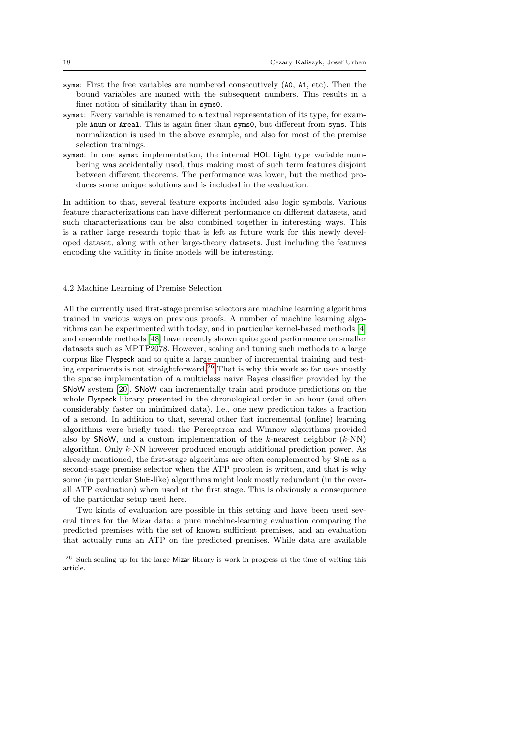- syms: First the free variables are numbered consecutively (A0, A1, etc). Then the bound variables are named with the subsequent numbers. This results in a finer notion of similarity than in syms0.
- symst: Every variable is renamed to a textual representation of its type, for example Anum or Areal. This is again finer than syms0, but different from syms. This normalization is used in the above example, and also for most of the premise selection trainings.
- symsd: In one symst implementation, the internal HOL Light type variable numbering was accidentally used, thus making most of such term features disjoint between different theorems. The performance was lower, but the method produces some unique solutions and is included in the evaluation.

In addition to that, several feature exports included also logic symbols. Various feature characterizations can have different performance on different datasets, and such characterizations can be also combined together in interesting ways. This is a rather large research topic that is left as future work for this newly developed dataset, along with other large-theory datasets. Just including the features encoding the validity in finite models will be interesting.

## 4.2 Machine Learning of Premise Selection

All the currently used first-stage premise selectors are machine learning algorithms trained in various ways on previous proofs. A number of machine learning algorithms can be experimented with today, and in particular kernel-based methods [\[4\]](#page-38-10) and ensemble methods [\[48\]](#page-40-16) have recently shown quite good performance on smaller datasets such as MPTP2078. However, scaling and tuning such methods to a large corpus like Flyspeck and to quite a large number of incremental training and test-ing experiments is not straightforward.<sup>[26](#page-17-0)</sup> That is why this work so far uses mostly the sparse implementation of a multiclass naive Bayes classifier provided by the SNoW system [\[20\]](#page-38-12). SNoW can incrementally train and produce predictions on the whole Flyspeck library presented in the chronological order in an hour (and often considerably faster on minimized data). I.e., one new prediction takes a fraction of a second. In addition to that, several other fast incremental (online) learning algorithms were briefly tried: the Perceptron and Winnow algorithms provided also by SNoW, and a custom implementation of the k-nearest neighbor  $(k-NN)$ algorithm. Only k-NN however produced enough additional prediction power. As already mentioned, the first-stage algorithms are often complemented by SInE as a second-stage premise selector when the ATP problem is written, and that is why some (in particular SInE-like) algorithms might look mostly redundant (in the overall ATP evaluation) when used at the first stage. This is obviously a consequence of the particular setup used here.

Two kinds of evaluation are possible in this setting and have been used several times for the Mizar data: a pure machine-learning evaluation comparing the predicted premises with the set of known sufficient premises, and an evaluation that actually runs an ATP on the predicted premises. While data are available

<span id="page-17-0"></span><sup>26</sup> Such scaling up for the large Mizar library is work in progress at the time of writing this article.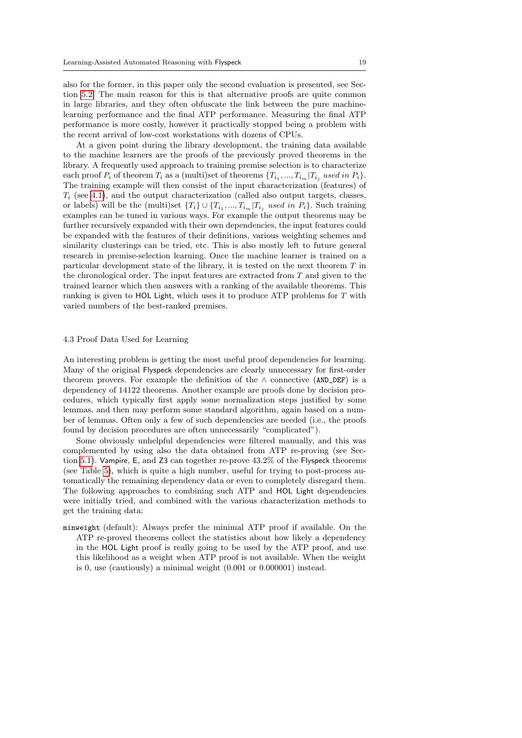also for the former, in this paper only the second evaluation is presented, see Section [5.2.](#page-25-0) The main reason for this is that alternative proofs are quite common in large libraries, and they often obfuscate the link between the pure machinelearning performance and the final ATP performance. Measuring the final ATP performance is more costly, however it practically stopped being a problem with the recent arrival of low-cost workstations with dozens of CPUs.

At a given point during the library development, the training data available to the machine learners are the proofs of the previously proved theorems in the library. A frequently used approach to training premise selection is to characterize each proof  $P_i$  of theorem  $T_i$  as a (multi)set of theorems  $\{T_{i_1},...,T_{i_m}|T_{i_j}$  used in  $P_i\}$ . The training example will then consist of the input characterization (features) of  $T_i$  (see [4.1\)](#page-15-0), and the output characterization (called also output targets, classes, or labels) will be the (multi)set  ${T_i} \cup {T_{i_1},...,T_{i_m}}|T_{i_j}$  used in  $P_i$ . Such training examples can be tuned in various ways. For example the output theorems may be further recursively expanded with their own dependencies, the input features could be expanded with the features of their definitions, various weighting schemes and similarity clusterings can be tried, etc. This is also mostly left to future general research in premise-selection learning. Once the machine learner is trained on a particular development state of the library, it is tested on the next theorem  $T$  in the chronological order. The input features are extracted from T and given to the trained learner which then answers with a ranking of the available theorems. This ranking is given to HOL Light, which uses it to produce ATP problems for  $T$  with varied numbers of the best-ranked premises.

## <span id="page-18-0"></span>4.3 Proof Data Used for Learning

An interesting problem is getting the most useful proof dependencies for learning. Many of the original Flyspeck dependencies are clearly unnecessary for first-order theorem provers. For example the definition of the  $\land$  connective (AND\_DEF) is a dependency of 14122 theorems. Another example are proofs done by decision procedures, which typically first apply some normalization steps justified by some lemmas, and then may perform some standard algorithm, again based on a number of lemmas. Often only a few of such dependencies are needed (i.e., the proofs found by decision procedures are often unnecessarily "complicated").

Some obviously unhelpful dependencies were filtered manually, and this was complemented by using also the data obtained from ATP re-proving (see Section [5.1\)](#page-22-0). Vampire, E, and Z3 can together re-prove 43.2% of the Flyspeck theorems (see Table [5\)](#page-23-0), which is quite a high number, useful for trying to post-process automatically the remaining dependency data or even to completely disregard them. The following approaches to combining such ATP and HOL Light dependencies were initially tried, and combined with the various characterization methods to get the training data:

minweight (default): Always prefer the minimal ATP proof if available. On the ATP re-proved theorems collect the statistics about how likely a dependency in the HOL Light proof is really going to be used by the ATP proof, and use this likelihood as a weight when ATP proof is not available. When the weight is 0, use (cautiously) a minimal weight (0.001 or 0.000001) instead.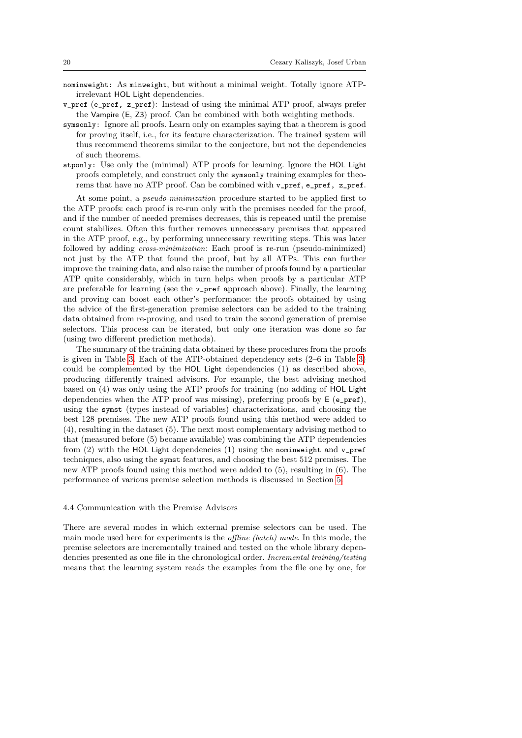- nominweight: As minweight, but without a minimal weight. Totally ignore ATPirrelevant HOL Light dependencies.
- v\_pref (e\_pref, z\_pref): Instead of using the minimal ATP proof, always prefer the Vampire (E, Z3) proof. Can be combined with both weighting methods.
- symsonly: Ignore all proofs. Learn only on examples saying that a theorem is good for proving itself, i.e., for its feature characterization. The trained system will thus recommend theorems similar to the conjecture, but not the dependencies of such theorems.
- atponly: Use only the (minimal) ATP proofs for learning. Ignore the HOL Light proofs completely, and construct only the symsonly training examples for theorems that have no ATP proof. Can be combined with v\_pref, e\_pref, z\_pref.

At some point, a pseudo-minimization procedure started to be applied first to the ATP proofs: each proof is re-run only with the premises needed for the proof, and if the number of needed premises decreases, this is repeated until the premise count stabilizes. Often this further removes unnecessary premises that appeared in the ATP proof, e.g., by performing unnecessary rewriting steps. This was later followed by adding cross-minimization: Each proof is re-run (pseudo-minimized) not just by the ATP that found the proof, but by all ATPs. This can further improve the training data, and also raise the number of proofs found by a particular ATP quite considerably, which in turn helps when proofs by a particular ATP are preferable for learning (see the v\_pref approach above). Finally, the learning and proving can boost each other's performance: the proofs obtained by using the advice of the first-generation premise selectors can be added to the training data obtained from re-proving, and used to train the second generation of premise selectors. This process can be iterated, but only one iteration was done so far (using two different prediction methods).

The summary of the training data obtained by these procedures from the proofs is given in Table [3.](#page-20-1) Each of the ATP-obtained dependency sets (2–6 in Table [3\)](#page-20-1) could be complemented by the HOL Light dependencies (1) as described above, producing differently trained advisors. For example, the best advising method based on (4) was only using the ATP proofs for training (no adding of HOL Light dependencies when the ATP proof was missing), preferring proofs by  $E(e_{pref})$ , using the symst (types instead of variables) characterizations, and choosing the best 128 premises. The new ATP proofs found using this method were added to (4), resulting in the dataset (5). The next most complementary advising method to that (measured before (5) became available) was combining the ATP dependencies from  $(2)$  with the HOL Light dependencies  $(1)$  using the nominweight and v\_pref techniques, also using the symst features, and choosing the best 512 premises. The new ATP proofs found using this method were added to (5), resulting in (6). The performance of various premise selection methods is discussed in Section [5.](#page-20-0)

## 4.4 Communication with the Premise Advisors

There are several modes in which external premise selectors can be used. The main mode used here for experiments is the offline (batch) mode. In this mode, the premise selectors are incrementally trained and tested on the whole library dependencies presented as one file in the chronological order. Incremental training/testing means that the learning system reads the examples from the file one by one, for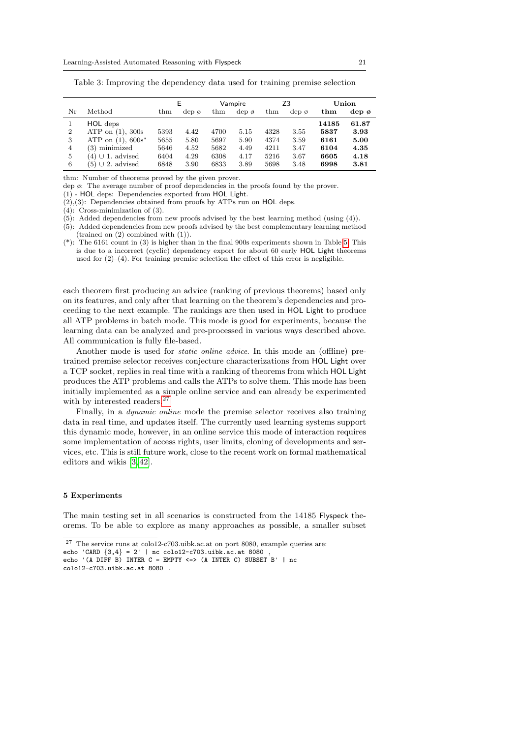|                |                         |                 | E.         |                 | Vampire    |                 | Z <sub>3</sub>   |              | Union            |  |
|----------------|-------------------------|-----------------|------------|-----------------|------------|-----------------|------------------|--------------|------------------|--|
| Nr             | Method                  | $_{\text{thm}}$ | $dep \phi$ | $_{\text{thm}}$ | $dep \phi$ | $_{\text{thm}}$ | dep <sub>0</sub> | $_{\rm thm}$ | dep <sub>0</sub> |  |
|                | HOL deps                |                 |            |                 |            |                 |                  | 14185        | 61.87            |  |
| $\overline{2}$ | ATP on $(1)$ , 300s     | 5393            | 4.42       | 4700            | 5.15       | 4328            | 3.55             | 5837         | 3.93             |  |
| 3              | ATP on $(1)$ , $600s^*$ | 5655            | 5.80       | 5697            | 5.90       | 4374            | 3.59             | 6161         | 5.00             |  |
| 4              | $(3)$ minimized         | 5646            | 4.52       | 5682            | 4.49       | 4211            | 3.47             | 6104         | 4.35             |  |
| 5              | $(4) \cup 1.$ advised   | 6404            | 4.29       | 6308            | 4.17       | 5216            | 3.67             | 6605         | 4.18             |  |
| 6              | $(5) \cup 2$ . advised  | 6848            | 3.90       | 6833            | 3.89       | 5698            | 3.48             | 6998         | 3.81             |  |

<span id="page-20-1"></span>Table 3: Improving the dependency data used for training premise selection

thm: Number of theorems proved by the given prover.

dep ø: The average number of proof dependencies in the proofs found by the prover.

(1) - HOL deps: Dependencies exported from HOL Light.

(2),(3): Dependencies obtained from proofs by ATPs run on HOL deps.

(4): Cross-minimization of (3).

(5): Added dependencies from new proofs advised by the best learning method (using (4)).

(5): Added dependencies from new proofs advised by the best complementary learning method (trained on (2) combined with (1)).

each theorem first producing an advice (ranking of previous theorems) based only on its features, and only after that learning on the theorem's dependencies and proceeding to the next example. The rankings are then used in HOL Light to produce all ATP problems in batch mode. This mode is good for experiments, because the learning data can be analyzed and pre-processed in various ways described above. All communication is fully file-based.

Another mode is used for static online advice. In this mode an (offline) pretrained premise selector receives conjecture characterizations from HOL Light over a TCP socket, replies in real time with a ranking of theorems from which HOL Light produces the ATP problems and calls the ATPs to solve them. This mode has been initially implemented as a simple online service and can already be experimented with by interested readers.<sup>[27](#page-20-2)</sup>

Finally, in a *dynamic online* mode the premise selector receives also training data in real time, and updates itself. The currently used learning systems support this dynamic mode, however, in an online service this mode of interaction requires some implementation of access rights, user limits, cloning of developments and services, etc. This is still future work, close to the recent work on formal mathematical editors and wikis [\[3,](#page-38-13) [42\]](#page-39-19).

#### <span id="page-20-0"></span>5 Experiments

The main testing set in all scenarios is constructed from the 14185 Flyspeck theorems. To be able to explore as many approaches as possible, a smaller subset

<sup>(\*):</sup> The 6161 count in (3) is higher than in the final 900s experiments shown in Table [5.](#page-23-0) This is due to a incorrect (cyclic) dependency export for about 60 early HOL Light theorems used for  $(2)-(4)$ . For training premise selection the effect of this error is negligible.

<span id="page-20-2"></span><sup>27</sup> The service runs at colo12-c703.uibk.ac.at on port 8080, example queries are:

echo 'CARD  $\{3, 4\} = 2'$  | nc colo12-c703.uibk.ac.at 8080

echo '(A DIFF B) INTER  $C =$  EMPTY  $\le$  > (A INTER C) SUBSET B' | nc colo12-c703.uibk.ac.at 8080 .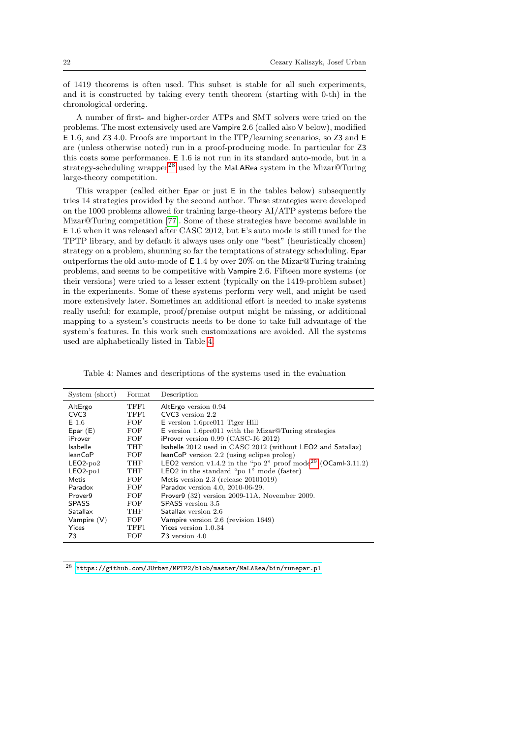of 1419 theorems is often used. This subset is stable for all such experiments, and it is constructed by taking every tenth theorem (starting with 0-th) in the chronological ordering.

A number of first- and higher-order ATPs and SMT solvers were tried on the problems. The most extensively used are Vampire 2.6 (called also V below), modified E 1.6, and Z3 4.0. Proofs are important in the ITP/learning scenarios, so Z3 and E are (unless otherwise noted) run in a proof-producing mode. In particular for Z3 this costs some performance. E 1.6 is not run in its standard auto-mode, but in a strategy-scheduling wrapper<sup>[28](#page-21-0)</sup> used by the MaLARea system in the Mizar@Turing large-theory competition.

This wrapper (called either Epar or just E in the tables below) subsequently tries 14 strategies provided by the second author. These strategies were developed on the 1000 problems allowed for training large-theory AI/ATP systems before the Mizar@Turing competition [\[77\]](#page-41-12). Some of these strategies have become available in E 1.6 when it was released after CASC 2012, but E's auto mode is still tuned for the TPTP library, and by default it always uses only one "best" (heuristically chosen) strategy on a problem, shunning so far the temptations of strategy scheduling. Epar outperforms the old auto-mode of  $E$  1.4 by over 20% on the Mizar@Turing training problems, and seems to be competitive with Vampire 2.6. Fifteen more systems (or their versions) were tried to a lesser extent (typically on the 1419-problem subset) in the experiments. Some of these systems perform very well, and might be used more extensively later. Sometimes an additional effort is needed to make systems really useful; for example, proof/premise output might be missing, or additional mapping to a system's constructs needs to be done to take full advantage of the system's features. In this work such customizations are avoided. All the systems used are alphabetically listed in Table [4.](#page-21-1)

<span id="page-21-1"></span>Table 4: Names and descriptions of the systems used in the evaluation

| System (short)   | Format | Description                                                               |
|------------------|--------|---------------------------------------------------------------------------|
| AltErgo          | TFF1   | AltErgo version 0.94                                                      |
| CVC <sub>3</sub> | TFF1.  | $CVC3$ version $2.2$                                                      |
| $E$ 1.6          | FOF    | $E$ version 1.6 pre011 Tiger Hill                                         |
| Epar $(E)$       | FOF    | $E$ version 1.6 pre011 with the Mizar@Turing strategies                   |
| iProver          | FOF    | iProver version $0.99$ (CASC-J6 2012)                                     |
| <b>Isabelle</b>  | THF    | Isabelle 2012 used in CASC 2012 (without LEO2 and Satallax)               |
| leanCoP          | FOF    | $leanCoP$ version 2.2 (using eclipse prolog)                              |
| $LEO2-po2$       | THF    | LEO2 version v1.4.2 in the "po 2" proof mode <sup>29</sup> (OCaml-3.11.2) |
| $LEO2-po1$       | THF    | <b>LEO2</b> in the standard "po $1$ " mode (faster)                       |
| Metis            | FOF    | Metis version $2.3$ (release $20101019$ )                                 |
| Paradox          | FOF    | Paradox version 4.0, 2010-06-29.                                          |
| Prover9          | FOF    | Prover $9$ (32) version 2009-11A, November 2009.                          |
| <b>SPASS</b>     | FOF    | SPASS version 3.5                                                         |
| Satallax         | THF    | Satallax version 2.6                                                      |
| Vampire $(V)$    | FOF    | Vampire version 2.6 (revision 1649)                                       |
| Yices            | TFF1.  | Yices version 1.0.34                                                      |
| Z3               | FOF    | $Z3$ version $4.0$                                                        |

<span id="page-21-0"></span> $^{28}\,$ <https://github.com/JUrban/MPTP2/blob/master/MaLARea/bin/runepar.pl>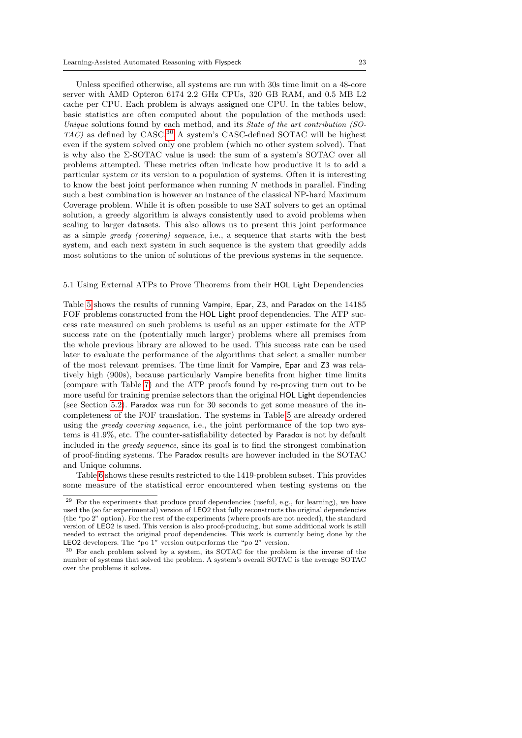Unless specified otherwise, all systems are run with 30s time limit on a 48-core server with AMD Opteron 6174 2.2 GHz CPUs, 320 GB RAM, and 0.5 MB L2 cache per CPU. Each problem is always assigned one CPU. In the tables below, basic statistics are often computed about the population of the methods used: Unique solutions found by each method, and its State of the art contribution (SO- $TAC$ ) as defined by CASC.<sup>[30](#page-22-2)</sup> A system's CASC-defined SOTAC will be highest even if the system solved only one problem (which no other system solved). That is why also the Σ-SOTAC value is used: the sum of a system's SOTAC over all problems attempted. These metrics often indicate how productive it is to add a particular system or its version to a population of systems. Often it is interesting to know the best joint performance when running  $N$  methods in parallel. Finding such a best combination is however an instance of the classical NP-hard Maximum Coverage problem. While it is often possible to use SAT solvers to get an optimal solution, a greedy algorithm is always consistently used to avoid problems when scaling to larger datasets. This also allows us to present this joint performance as a simple greedy (covering) sequence, i.e., a sequence that starts with the best system, and each next system in such sequence is the system that greedily adds most solutions to the union of solutions of the previous systems in the sequence.

#### <span id="page-22-0"></span>5.1 Using External ATPs to Prove Theorems from their HOL Light Dependencies

Table [5](#page-23-0) shows the results of running Vampire, Epar, Z3, and Paradox on the 14185 FOF problems constructed from the HOL Light proof dependencies. The ATP success rate measured on such problems is useful as an upper estimate for the ATP success rate on the (potentially much larger) problems where all premises from the whole previous library are allowed to be used. This success rate can be used later to evaluate the performance of the algorithms that select a smaller number of the most relevant premises. The time limit for Vampire, Epar and Z3 was relatively high (900s), because particularly Vampire benefits from higher time limits (compare with Table [7\)](#page-24-0) and the ATP proofs found by re-proving turn out to be more useful for training premise selectors than the original HOL Light dependencies (see Section [5.2\)](#page-25-0). Paradox was run for 30 seconds to get some measure of the incompleteness of the FOF translation. The systems in Table [5](#page-23-0) are already ordered using the greedy covering sequence, i.e., the joint performance of the top two systems is 41.9%, etc. The counter-satisfiability detected by Paradox is not by default included in the greedy sequence, since its goal is to find the strongest combination of proof-finding systems. The Paradox results are however included in the SOTAC and Unique columns.

Table [6](#page-23-1) shows these results restricted to the 1419-problem subset. This provides some measure of the statistical error encountered when testing systems on the

<span id="page-22-1"></span> $29$  For the experiments that produce proof dependencies (useful, e.g., for learning), we have used the (so far experimental) version of LEO2 that fully reconstructs the original dependencies (the "po 2" option). For the rest of the experiments (where proofs are not needed), the standard version of LEO2 is used. This version is also proof-producing, but some additional work is still needed to extract the original proof dependencies. This work is currently being done by the LEO2 developers. The "po 1" version outperforms the "po 2" version.

<span id="page-22-2"></span><sup>30</sup> For each problem solved by a system, its SOTAC for the problem is the inverse of the number of systems that solved the problem. A system's overall SOTAC is the average SOTAC over the problems it solves.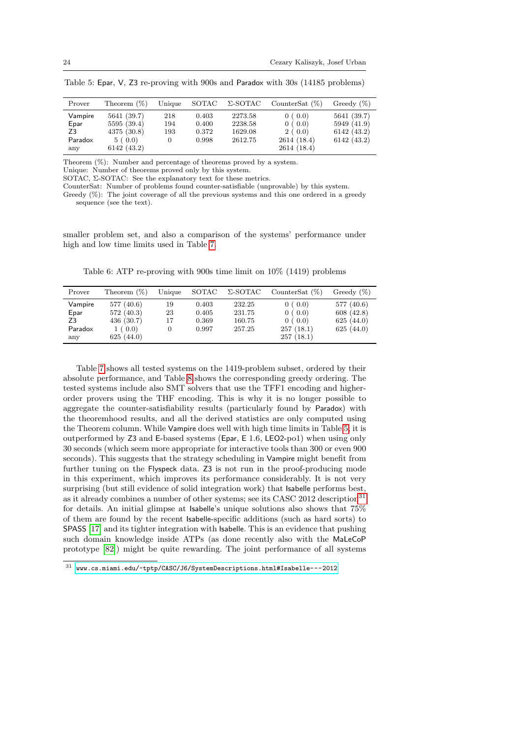| Prover  | Theorem $(\%)$ | Unique   | SOTAC | Σ-SOTAC | CounterSat $(\%)$ | Greedy $(\%)$ |
|---------|----------------|----------|-------|---------|-------------------|---------------|
| Vampire | 5641 (39.7)    | 218      | 0.403 | 2273.58 | 0(0.0)            | 5641 (39.7)   |
| Epar    | 5595 (39.4)    | 194      | 0.400 | 2238.58 | 0(0.0)            | 5949 (41.9)   |
| Z3      | 4375 (30.8)    | 193      | 0.372 | 1629.08 | 2(0.0)            | 6142(43.2)    |
| Paradox | 5(0.0)         | $\Omega$ | 0.998 | 2612.75 | 2614 (18.4)       | 6142(43.2)    |
| any     | 6142 (43.2)    |          |       |         | 2614(18.4)        |               |

<span id="page-23-0"></span>Table 5: Epar, V, Z3 re-proving with 900s and Paradox with 30s (14185 problems)

Theorem (%): Number and percentage of theorems proved by a system.

Unique: Number of theorems proved only by this system.

SOTAC, Σ-SOTAC: See the explanatory text for these metrics.

CounterSat: Number of problems found counter-satisfiable (unprovable) by this system.

Greedy (%): The joint coverage of all the previous systems and this one ordered in a greedy sequence (see the text).

smaller problem set, and also a comparison of the systems' performance under high and low time limits used in Table [7.](#page-24-0)

<span id="page-23-1"></span>Table 6: ATP re-proving with 900s time limit on 10% (1419) problems

| Prover  | Theorem $(\%)$ | Unique | SOTAC | Σ-SOTAC | CounterSat $(\%)$ | Greedy $(\%)$ |
|---------|----------------|--------|-------|---------|-------------------|---------------|
| Vampire | 577 (40.6)     | 19     | 0.403 | 232.25  | 0(0.0)            | 577 (40.6)    |
| Epar    | 572(40.3)      | 23     | 0.405 | 231.75  | 0(0.0)            | 608 (42.8)    |
| Z3      | 436(30.7)      | 17     | 0.369 | 160.75  | 0(0.0)            | 625(44.0)     |
| Paradox | 1(0.0)         |        | 0.997 | 257.25  | 257(18.1)         | 625 $(44.0)$  |
| any     | 625(44.0)      |        |       |         | 257(18.1)         |               |

Table [7](#page-24-0) shows all tested systems on the 1419-problem subset, ordered by their absolute performance, and Table [8](#page-24-1) shows the corresponding greedy ordering. The tested systems include also SMT solvers that use the TFF1 encoding and higherorder provers using the THF encoding. This is why it is no longer possible to aggregate the counter-satisfiability results (particularly found by Paradox) with the theoremhood results, and all the derived statistics are only computed using the Theorem column. While Vampire does well with high time limits in Table [5,](#page-23-0) it is outperformed by Z3 and E-based systems (Epar, E 1.6, LEO2-po1) when using only 30 seconds (which seem more appropriate for interactive tools than 300 or even 900 seconds). This suggests that the strategy scheduling in Vampire might benefit from further tuning on the Flyspeck data. Z3 is not run in the proof-producing mode in this experiment, which improves its performance considerably. It is not very surprising (but still evidence of solid integration work) that Isabelle performs best, as it already combines a number of other systems; see its CASC 2012 description<sup>[31](#page-23-2)</sup> for details. An initial glimpse at Isabelle's unique solutions also shows that 75% of them are found by the recent Isabelle-specific additions (such as hard sorts) to SPASS [\[17\]](#page-38-7) and its tighter integration with Isabelle. This is an evidence that pushing such domain knowledge inside ATPs (as done recently also with the MaLeCoP prototype [\[82\]](#page-41-13)) might be quite rewarding. The joint performance of all systems

<span id="page-23-2"></span><sup>31</sup> <www.cs.miami.edu/~tptp/CASC/J6/SystemDescriptions.html#Isabelle---2012>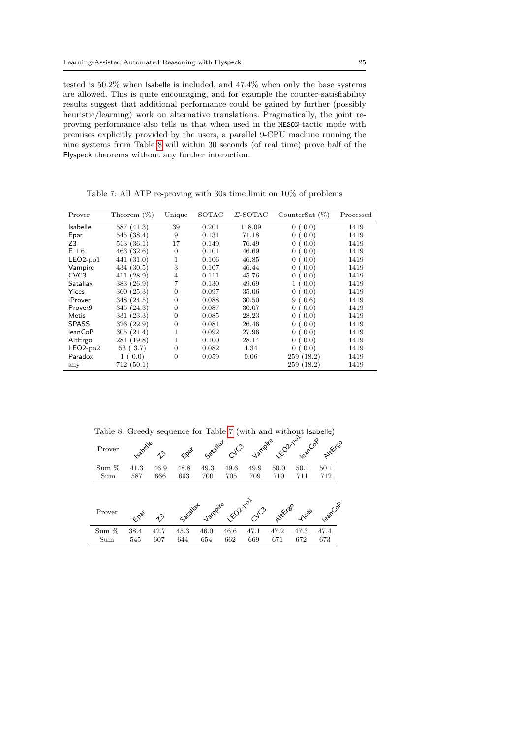tested is 50.2% when Isabelle is included, and 47.4% when only the base systems are allowed. This is quite encouraging, and for example the counter-satisfiability results suggest that additional performance could be gained by further (possibly heuristic/learning) work on alternative translations. Pragmatically, the joint reproving performance also tells us that when used in the MESON-tactic mode with premises explicitly provided by the users, a parallel 9-CPU machine running the nine systems from Table [8](#page-24-1) will within 30 seconds (of real time) prove half of the Flyspeck theorems without any further interaction.

<span id="page-24-0"></span>

| Prover              | Theorem $(\%)$ | Unique         | SOTAC | Σ-SOTAC | CounterSat $(\%)$       | Processed |
|---------------------|----------------|----------------|-------|---------|-------------------------|-----------|
| <b>Isabelle</b>     | 587(41.3)      | 39             | 0.201 | 118.09  | 0(0.0)                  | 1419      |
| Epar                | 545 (38.4)     | 9              | 0.131 | 71.18   | 0(0.0)                  | 1419      |
| Z3                  | 513(36.1)      | 17             | 0.149 | 76.49   | 0(0.0)                  | 1419      |
| $E$ 1.6             | 463(32.6)      | $\overline{0}$ | 0.101 | 46.69   | 0(0.0)                  | 1419      |
| $LEO2-po1$          | 441 (31.0)     | 1              | 0.106 | 46.85   | 0(0.0)                  | 1419      |
| Vampire             | 434 (30.5)     | 3              | 0.107 | 46.44   | 0(0.0)                  | 1419      |
| CVC <sub>3</sub>    | 411 (28.9)     | 4              | 0.111 | 45.76   | 0 <sup>0</sup><br>(0.0) | 1419      |
| Satallax            | 383 (26.9)     | 7              | 0.130 | 49.69   | (0.0)                   | 1419      |
| Yices               | 360(25.3)      | $\overline{0}$ | 0.097 | 35.06   | 0(0.0)                  | 1419      |
| iProver             | 348 (24.5)     | $\Omega$       | 0.088 | 30.50   | 9(0.6)                  | 1419      |
| Prover <sub>9</sub> | 345 (24.3)     | 0              | 0.087 | 30.07   | 0(0.0)                  | 1419      |
| Metis               | 331(23.3)      | $\overline{0}$ | 0.085 | 28.23   | 0(0.0)                  | 1419      |
| <b>SPASS</b>        | 326 (22.9)     | $\overline{0}$ | 0.081 | 26.46   | (0.0)<br>0(             | 1419      |
| <b>leanCoP</b>      | 305(21.4)      | 1              | 0.092 | 27.96   | (0.0)<br>0 <sup>0</sup> | 1419      |
| AltErgo             | 281(19.8)      | 1              | 0.100 | 28.14   | (0.0)<br>0 <sup>0</sup> | 1419      |
| $LEO2-po2$          | 53(3.7)        | $\Omega$       | 0.082 | 4.34    | 0(0.0)                  | 1419      |
| Paradox             | 1(0.0)         | $\overline{0}$ | 0.059 | 0.06    | 259(18.2)               | 1419      |
| any                 | 712(50.1)      |                |       |         | 259(18.2)               | 1419      |

Table 7: All ATP re-proving with 30s time limit on 10% of problems

<span id="page-24-1"></span>

Table 8: Greedy sequence for Table [7](#page-24-0) (with and without Isabelle)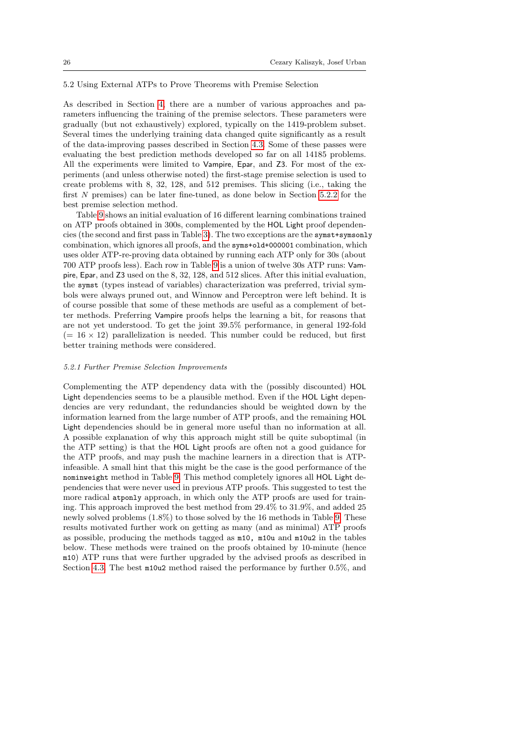## <span id="page-25-0"></span>5.2 Using External ATPs to Prove Theorems with Premise Selection

As described in Section [4,](#page-13-0) there are a number of various approaches and parameters influencing the training of the premise selectors. These parameters were gradually (but not exhaustively) explored, typically on the 1419-problem subset. Several times the underlying training data changed quite significantly as a result of the data-improving passes described in Section [4.3.](#page-18-0) Some of these passes were evaluating the best prediction methods developed so far on all 14185 problems. All the experiments were limited to Vampire, Epar, and Z3. For most of the experiments (and unless otherwise noted) the first-stage premise selection is used to create problems with 8, 32, 128, and 512 premises. This slicing (i.e., taking the first N premises) can be later fine-tuned, as done below in Section [5.2.2](#page-26-0) for the best premise selection method.

Table [9](#page-26-1) shows an initial evaluation of 16 different learning combinations trained on ATP proofs obtained in 300s, complemented by the HOL Light proof dependencies (the second and first pass in Table [3\)](#page-20-1). The two exceptions are the symst+symsonly combination, which ignores all proofs, and the syms+old+000001 combination, which uses older ATP-re-proving data obtained by running each ATP only for 30s (about 700 ATP proofs less). Each row in Table [9](#page-26-1) is a union of twelve 30s ATP runs: Vampire, Epar, and Z3 used on the 8, 32, 128, and 512 slices. After this initial evaluation, the symst (types instead of variables) characterization was preferred, trivial symbols were always pruned out, and Winnow and Perceptron were left behind. It is of course possible that some of these methods are useful as a complement of better methods. Preferring Vampire proofs helps the learning a bit, for reasons that are not yet understood. To get the joint 39.5% performance, in general 192-fold  $(= 16 \times 12)$  parallelization is needed. This number could be reduced, but first better training methods were considered.

#### 5.2.1 Further Premise Selection Improvements

Complementing the ATP dependency data with the (possibly discounted) HOL Light dependencies seems to be a plausible method. Even if the HOL Light dependencies are very redundant, the redundancies should be weighted down by the information learned from the large number of ATP proofs, and the remaining HOL Light dependencies should be in general more useful than no information at all. A possible explanation of why this approach might still be quite suboptimal (in the ATP setting) is that the HOL Light proofs are often not a good guidance for the ATP proofs, and may push the machine learners in a direction that is ATPinfeasible. A small hint that this might be the case is the good performance of the nominweight method in Table [9.](#page-26-1) This method completely ignores all HOL Light dependencies that were never used in previous ATP proofs. This suggested to test the more radical atponly approach, in which only the ATP proofs are used for training. This approach improved the best method from 29.4% to 31.9%, and added 25 newly solved problems (1.8%) to those solved by the 16 methods in Table [9.](#page-26-1) These results motivated further work on getting as many (and as minimal) ATP proofs as possible, producing the methods tagged as m10, m10u and m10u2 in the tables below. These methods were trained on the proofs obtained by 10-minute (hence m10) ATP runs that were further upgraded by the advised proofs as described in Section [4.3.](#page-18-0) The best m10u2 method raised the performance by further 0.5%, and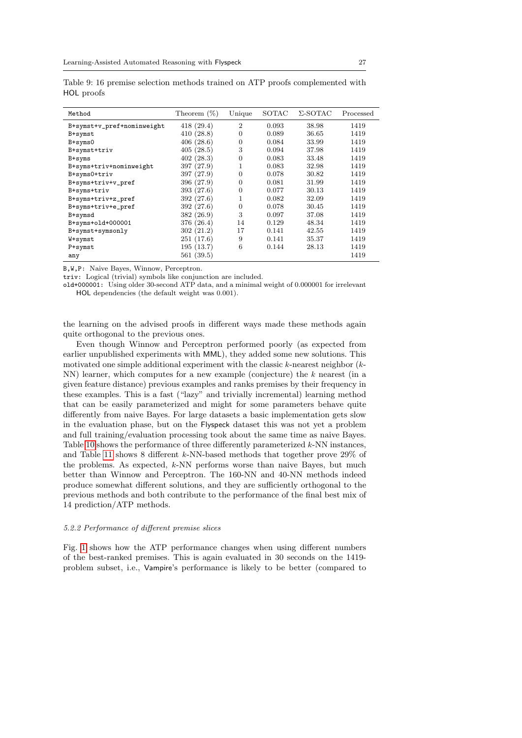| Method                     | Theorem $(\%)$ | Unique         | SOTAC | $\Sigma$ -SOTAC | Processed |
|----------------------------|----------------|----------------|-------|-----------------|-----------|
| B+symst+v_pref+nominweight | 418(29.4)      | $\overline{2}$ | 0.093 | 38.98           | 1419      |
| B+symst                    | 410(28.8)      | $\overline{0}$ | 0.089 | 36.65           | 1419      |
| $B+syms0$                  | 406(28.6)      | 0              | 0.084 | 33.99           | 1419      |
| B+symst+triv               | 405(28.5)      | 3              | 0.094 | 37.98           | 1419      |
| B+syms                     | 402(28.3)      | $\overline{0}$ | 0.083 | 33.48           | 1419      |
| B+syms+triv+nominweight    | 397 (27.9)     | 1              | 0.083 | 32.98           | 1419      |
| B+syms0+triv               | 397 (27.9)     | 0              | 0.078 | 30.82           | 1419      |
| B+syms+triv+v_pref         | 396 (27.9)     | 0              | 0.081 | 31.99           | 1419      |
| B+syms+triv                | 393 (27.6)     | 0              | 0.077 | 30.13           | 1419      |
| B+syms+triv+z_pref         | 392 (27.6)     |                | 0.082 | 32.09           | 1419      |
| B+syms+triv+e_pref         | 392 (27.6)     | $\overline{0}$ | 0.078 | 30.45           | 1419      |
| B+symsd                    | 382 (26.9)     | 3              | 0.097 | 37.08           | 1419      |
| $B+syms+old+000001$        | 376 (26.4)     | 14             | 0.129 | 48.34           | 1419      |
| B+symst+symsonly           | 302(21.2)      | 17             | 0.141 | 42.55           | 1419      |
| W+symst                    | 251(17.6)      | 9              | 0.141 | 35.37           | 1419      |
| P+symst                    | 195(13.7)      | 6              | 0.144 | 28.13           | 1419      |
| any                        | 561(39.5)      |                |       |                 | 1419      |

<span id="page-26-1"></span>Table 9: 16 premise selection methods trained on ATP proofs complemented with HOL proofs

B,W,P: Naive Bayes, Winnow, Perceptron.

triv: Logical (trivial) symbols like conjunction are included.

old+000001: Using older 30-second ATP data, and a minimal weight of 0.000001 for irrelevant HOL dependencies (the default weight was 0.001).

the learning on the advised proofs in different ways made these methods again quite orthogonal to the previous ones.

Even though Winnow and Perceptron performed poorly (as expected from earlier unpublished experiments with MML), they added some new solutions. This motivated one simple additional experiment with the classic  $k$ -nearest neighbor  $(k-$ NN) learner, which computes for a new example (conjecture) the k nearest (in a given feature distance) previous examples and ranks premises by their frequency in these examples. This is a fast ("lazy" and trivially incremental) learning method that can be easily parameterized and might for some parameters behave quite differently from naive Bayes. For large datasets a basic implementation gets slow in the evaluation phase, but on the Flyspeck dataset this was not yet a problem and full training/evaluation processing took about the same time as naive Bayes. Table [10](#page-27-0) shows the performance of three differently parameterized k-NN instances, and Table [11](#page-27-1) shows 8 different k-NN-based methods that together prove 29% of the problems. As expected, k-NN performs worse than naive Bayes, but much better than Winnow and Perceptron. The 160-NN and 40-NN methods indeed produce somewhat different solutions, and they are sufficiently orthogonal to the previous methods and both contribute to the performance of the final best mix of 14 prediction/ATP methods.

#### <span id="page-26-0"></span>5.2.2 Performance of different premise slices

Fig. [1](#page-28-0) shows how the ATP performance changes when using different numbers of the best-ranked premises. This is again evaluated in 30 seconds on the 1419 problem subset, i.e., Vampire's performance is likely to be better (compared to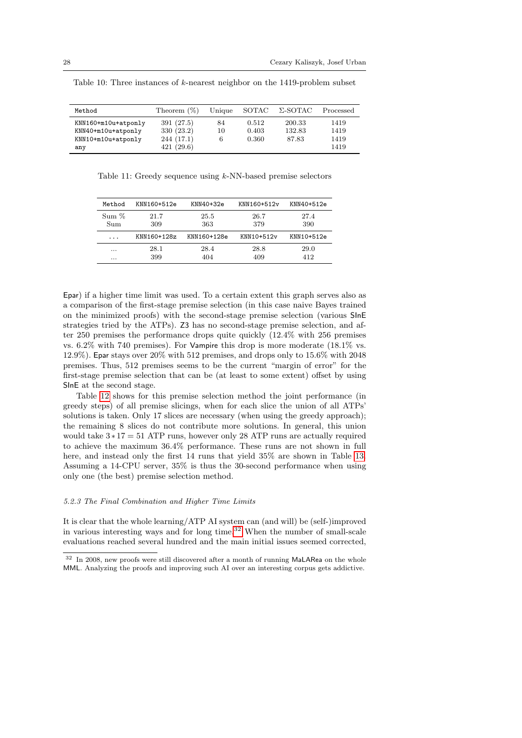| Method                                                                 | Theorem $(\%)$                                     | Unique   | SOTAC                   | Σ-SOTAC                   | Processed                    |
|------------------------------------------------------------------------|----------------------------------------------------|----------|-------------------------|---------------------------|------------------------------|
| KNN160+m10u+atponly<br>KNN40+m10u+atponly<br>KNN10+m10u+atponly<br>any | 391 (27.5)<br>330 (23.2)<br>244(17.1)<br>421(29.6) | 84<br>10 | 0.512<br>0.403<br>0.360 | 200.33<br>132.83<br>87.83 | 1419<br>1419<br>1419<br>1419 |

<span id="page-27-0"></span>Table 10: Three instances of  $k$ -nearest neighbor on the 1419-problem subset

<span id="page-27-1"></span>Table 11: Greedy sequence using k-NN-based premise selectors

| Method               | KNN160+512e | KNN40+32e   | KNN160+512v | KNN40+512e |
|----------------------|-------------|-------------|-------------|------------|
| Sum %                | 21.7        | 25.5        | 26.7        | 27.4       |
| Sum                  | 309         | 363         | 379         | 390        |
| $\ddot{\phantom{0}}$ | KNN160+128z | KNN160+128e | KNN10+512v  | KNN10+512e |
| $\cdots$             | 28.1        | 28.4        | 28.8        | 29.0       |
| $\cdots$             | 399         | 404         | 409         | 412        |

Epar) if a higher time limit was used. To a certain extent this graph serves also as a comparison of the first-stage premise selection (in this case naive Bayes trained on the minimized proofs) with the second-stage premise selection (various SInE strategies tried by the ATPs). Z3 has no second-stage premise selection, and after 250 premises the performance drops quite quickly (12.4% with 256 premises vs. 6.2% with 740 premises). For Vampire this drop is more moderate (18.1% vs. 12.9%). Epar stays over 20% with 512 premises, and drops only to 15.6% with 2048 premises. Thus, 512 premises seems to be the current "margin of error" for the first-stage premise selection that can be (at least to some extent) offset by using SInE at the second stage.

Table [12](#page-28-1) shows for this premise selection method the joint performance (in greedy steps) of all premise slicings, when for each slice the union of all ATPs' solutions is taken. Only 17 slices are necessary (when using the greedy approach); the remaining 8 slices do not contribute more solutions. In general, this union would take  $3*17 = 51$  ATP runs, however only 28 ATP runs are actually required to achieve the maximum 36.4% performance. These runs are not shown in full here, and instead only the first 14 runs that yield 35% are shown in Table [13.](#page-28-2) Assuming a 14-CPU server, 35% is thus the 30-second performance when using only one (the best) premise selection method.

## 5.2.3 The Final Combination and Higher Time Limits

It is clear that the whole learning/ATP AI system can (and will) be (self-)improved in various interesting ways and for long time. $32$  When the number of small-scale evaluations reached several hundred and the main initial issues seemed corrected,

<span id="page-27-2"></span><sup>32</sup> In 2008, new proofs were still discovered after a month of running MaLARea on the whole MML. Analyzing the proofs and improving such AI over an interesting corpus gets addictive.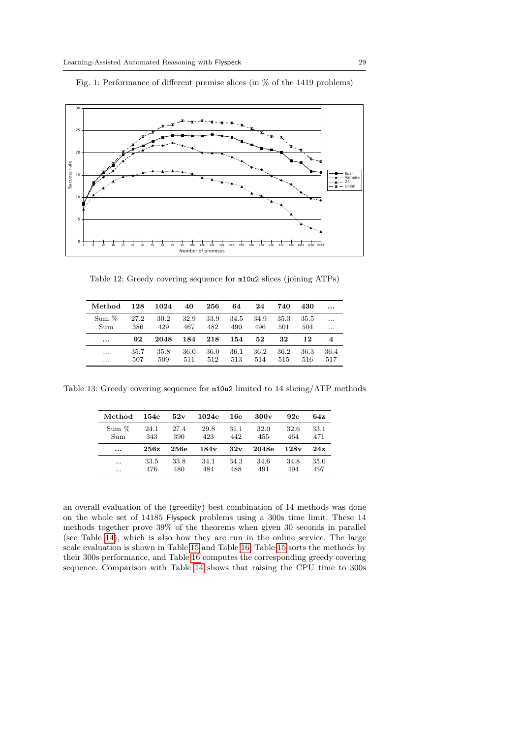

<span id="page-28-0"></span>Fig. 1: Performance of different premise slices (in % of the 1419 problems)

<span id="page-28-1"></span>Table 12: Greedy covering sequence for m10u2 slices (joining ATPs)

| Method   | 128  | 1024 | 40   | 256  | 64   | 24   | 740  | 430  |      |
|----------|------|------|------|------|------|------|------|------|------|
| Sum %    | 27.2 | 30.2 | 32.9 | 33.9 | 34.5 | 34.9 | 35.3 | 35.5 | .    |
| Sum      | 386  | 429  | 467  | 482  | 490  | 496  | 501  | 504  |      |
| $\cdots$ | 92   | 2048 | 184  | 218  | 154  | 52   | 32   | 12   | 4    |
|          | 35.7 | 35.8 | 36.0 | 36.0 | 36.1 | 36.2 | 36.2 | 36.3 | 36.4 |
| $\cdots$ | 507  | 509  | 511  | 512  | 513  | 514  | 515  | 516  | 517  |

<span id="page-28-2"></span>Table 13: Greedy covering sequence for m10u2 limited to 14 slicing/ATP methods

| Method   | 154e | 52v  | 1024e            | 16e  | 300v  | 92e  | 64z  |
|----------|------|------|------------------|------|-------|------|------|
| Sum %    | 24.1 | 27.4 | 29.8             | 31.1 | 32.0  | 32.6 | 33.1 |
| Sum      | 343  | 390  | 423              | 442  | 455   | 464  | 471  |
| $\cdots$ | 256z | 256e | 184 <sub>v</sub> | 32v  | 2048e | 128v | 24z  |
| .        | 33.5 | 33.8 | 34.1             | 34.3 | 34.6  | 34.8 | 35.0 |
|          | 476  | 480  | 484              | 488  | 491   | 494  | 497  |

an overall evaluation of the (greedily) best combination of 14 methods was done on the whole set of 14185 Flyspeck problems using a 300s time limit. These 14 methods together prove 39% of the theorems when given 30 seconds in parallel (see Table [14\)](#page-29-0), which is also how they are run in the online service. The large scale evaluation is shown in Table [15](#page-29-1) and Table [16.](#page-30-0) Table [15](#page-29-1) sorts the methods by their 300s performance, and Table [16](#page-30-0) computes the corresponding greedy covering sequence. Comparison with Table [14](#page-29-0) shows that raising the CPU time to 300s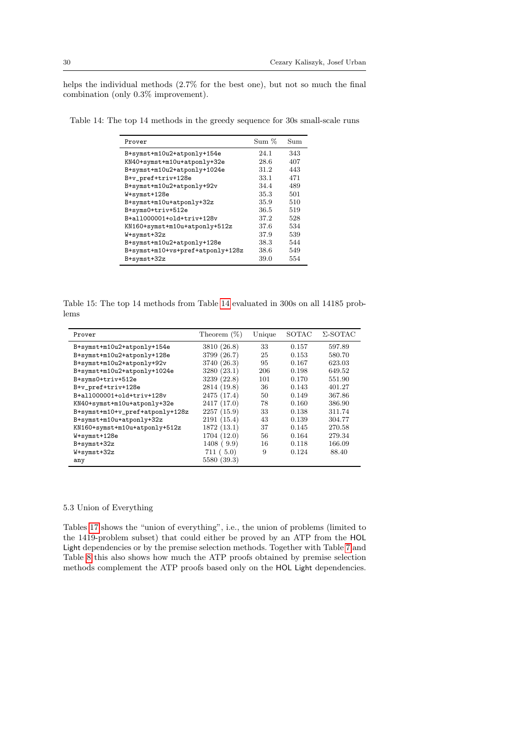helps the individual methods (2.7% for the best one), but not so much the final combination (only 0.3% improvement).

<span id="page-29-0"></span>Table 14: The top 14 methods in the greedy sequence for 30s small-scale runs

| Prover                              | Sum % | Sum |
|-------------------------------------|-------|-----|
| B+symst+m10u2+atponly+154e          | 24.1  | 343 |
| KN40+symst+m10u+atponly+32e         | 28.6  | 407 |
| B+symst+m10u2+atponly+1024e         | 31.2  | 443 |
| B+v_pref+triv+128e                  | 33.1  | 471 |
| B+symst+m10u2+atponly+92v           | 34.4  | 489 |
| W+symst+128e                        | 35.3  | 501 |
| B+symst+m10u+atponly+32z            | 35.9  | 510 |
| B+syms0+triv+512e                   | 36.5  | 519 |
| $B + a11000001 + c1d + triv + 128v$ | 37.2  | 528 |
| KN160+symst+m10u+atponly+512z       | 37.6  | 534 |
| W+symst+32z                         | 37.9  | 539 |
| B+symst+m10u2+atponly+128e          | 38.3  | 544 |
| B+symst+m10+vs+pref+atponly+128z    | 38.6  | 549 |
| B+symst+32z                         | 39.0  | 554 |

<span id="page-29-1"></span>Table 15: The top 14 methods from Table [14](#page-29-0) evaluated in 300s on all 14185 problems

| Prover                          | Theorem $(\%)$ | Unique | SOTAC | $\Sigma$ -SOTAC |
|---------------------------------|----------------|--------|-------|-----------------|
| B+symst+m10u2+atponly+154e      | 3810 (26.8)    | 33     | 0.157 | 597.89          |
| B+symst+m10u2+atponly+128e      | 3799 (26.7)    | 25     | 0.153 | 580.70          |
| B+symst+m10u2+atponly+92v       | 3740 (26.3)    | 95     | 0.167 | 623.03          |
| B+symst+m10u2+atponly+1024e     | 3280(23.1)     | 206    | 0.198 | 649.52          |
| B+syms0+triv+512e               | 3239 (22.8)    | 101    | 0.170 | 551.90          |
| B+v_pref+triv+128e              | 2814 (19.8)    | 36     | 0.143 | 401.27          |
| B+all000001+old+triv+128v       | 2475 (17.4)    | 50     | 0.149 | 367.86          |
| KN40+symst+m10u+atponly+32e     | 2417 (17.0)    | 78     | 0.160 | 386.90          |
| B+symst+m10+v_pref+atponly+128z | 2257(15.9)     | 33     | 0.138 | 311.74          |
| B+symst+m10u+atponly+32z        | 2191(15.4)     | 43     | 0.139 | 304.77          |
| KN160+symst+m10u+atponly+512z   | 1872 (13.1)    | 37     | 0.145 | 270.58          |
| W+symst+128e                    | 1704 (12.0)    | 56     | 0.164 | 279.34          |
| B+symst+32z                     | 1408(9.9)      | 16     | 0.118 | 166.09          |
| W+symst+32z                     | 711(5.0)       | 9      | 0.124 | 88.40           |
| any                             | 5580 (39.3)    |        |       |                 |

## 5.3 Union of Everything

Tables [17](#page-30-1) shows the "union of everything", i.e., the union of problems (limited to the 1419-problem subset) that could either be proved by an ATP from the HOL Light dependencies or by the premise selection methods. Together with Table [7](#page-24-0) and Table [8](#page-24-1) this also shows how much the ATP proofs obtained by premise selection methods complement the ATP proofs based only on the HOL Light dependencies.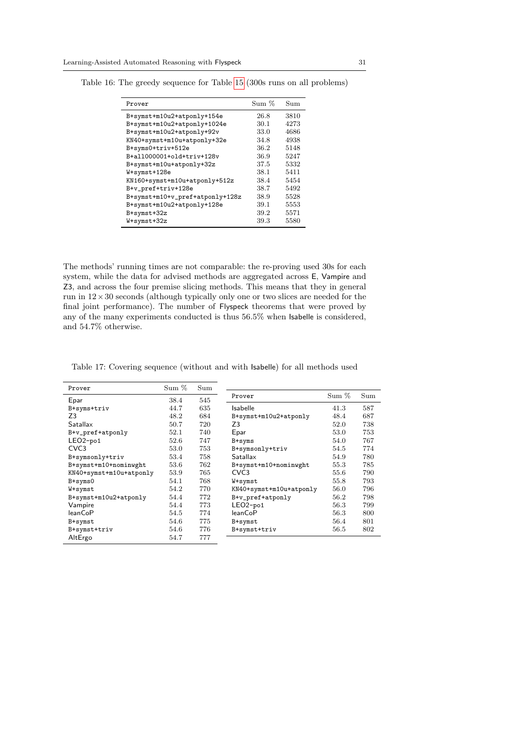$\overline{a}$ 

| Prover                          | Sum % | Sum  |
|---------------------------------|-------|------|
| B+symst+m10u2+atponly+154e      | 26.8  | 3810 |
| B+symst+m10u2+atponly+1024e     | 30.1  | 4273 |
| B+symst+m10u2+atponly+92v       | 33.0  | 4686 |
| KN40+symst+m10u+atponly+32e     | 34.8  | 4938 |
| B+syms0+triv+512e               | 36.2  | 5148 |
| B+all000001+old+triv+128v       | 36.9  | 5247 |
| B+symst+m10u+atponly+32z        | 37.5  | 5332 |
| W+symst+128e                    | 38.1  | 5411 |
| KN160+symst+m10u+atponly+512z   | 38.4  | 5454 |
| B+v_pref+triv+128e              | 38.7  | 5492 |
| B+symst+m10+v_pref+atponly+128z | 38.9  | 5528 |
| B+symst+m10u2+atponly+128e      | 39.1  | 5553 |
| B+symst+32z                     | 39.2  | 5571 |
| W+symst+32z                     | 39.3  | 5580 |

<span id="page-30-0"></span>Table 16: The greedy sequence for Table [15](#page-29-1) (300s runs on all problems)

The methods' running times are not comparable: the re-proving used 30s for each system, while the data for advised methods are aggregated across E, Vampire and Z3, and across the four premise slicing methods. This means that they in general run in  $12 \times 30$  seconds (although typically only one or two slices are needed for the final joint performance). The number of Flyspeck theorems that were proved by any of the many experiments conducted is thus 56.5% when Isabelle is considered, and 54.7% otherwise.

<span id="page-30-1"></span>Table 17: Covering sequence (without and with Isabelle) for all methods used

| Prover                  | Sum % | Sum |                         |       |     |
|-------------------------|-------|-----|-------------------------|-------|-----|
| Epar                    | 38.4  | 545 | Prover                  | Sum % | Sum |
| B+syms+triv             | 44.7  | 635 | <b>Isabelle</b>         | 41.3  | 587 |
| Z3                      | 48.2  | 684 | B+symst+m10u2+atponly   | 48.4  | 687 |
| Satallax                | 50.7  | 720 | Z <sub>3</sub>          | 52.0  | 738 |
| B+v_pref+atponly        | 52.1  | 740 | Epar                    | 53.0  | 753 |
| $LEO2-po1$              | 52.6  | 747 | B+syms                  | 54.0  | 767 |
| CVC <sub>3</sub>        | 53.0  | 753 | B+symsonly+triv         | 54.5  | 774 |
| B+symsonly+triv         | 53.4  | 758 | Satallax                | 54.9  | 780 |
| B+symst+m10+nominwght   | 53.6  | 762 | B+symst+m10+nominwght   | 55.3  | 785 |
| KN40+symst+m10u+atponly | 53.9  | 765 | CVC <sub>3</sub>        | 55.6  | 790 |
| $B+syms0$               | 54.1  | 768 | W+symst                 | 55.8  | 793 |
| W+symst                 | 54.2  | 770 | KN40+symst+m10u+atponly | 56.0  | 796 |
| B+symst+m10u2+atponly   | 54.4  | 772 | B+v_pref+atponly        | 56.2  | 798 |
| Vampire                 | 54.4  | 773 | $LEO2-po1$              | 56.3  | 799 |
| <b>leanCoP</b>          | 54.5  | 774 | <b>leanCoP</b>          | 56.3  | 800 |
| B+symst                 | 54.6  | 775 | B+symst                 | 56.4  | 801 |
| B+symst+triv            | 54.6  | 776 | B+symst+triv            | 56.5  | 802 |
| AltErgo                 | 54.7  | 777 |                         |       |     |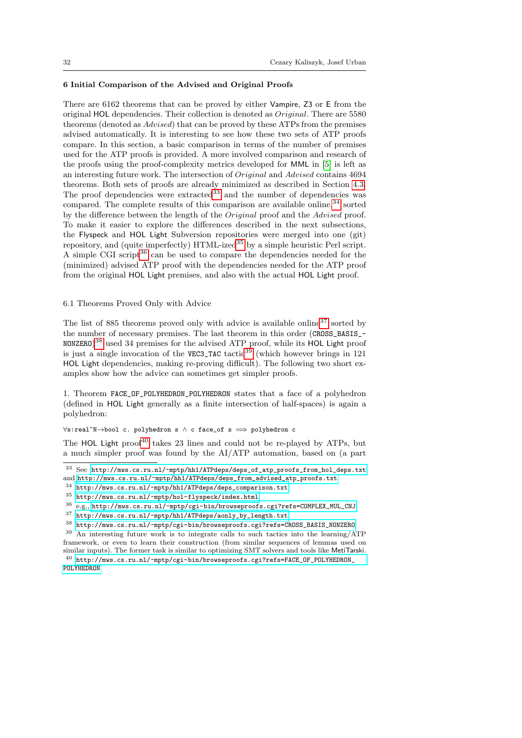## <span id="page-31-0"></span>6 Initial Comparison of the Advised and Original Proofs

There are 6162 theorems that can be proved by either Vampire, Z3 or E from the original HOL dependencies. Their collection is denoted as Original. There are 5580 theorems (denoted as Advised) that can be proved by these ATPs from the premises advised automatically. It is interesting to see how these two sets of ATP proofs compare. In this section, a basic comparison in terms of the number of premises used for the ATP proofs is provided. A more involved comparison and research of the proofs using the proof-complexity metrics developed for MML in [\[5\]](#page-38-14) is left as an interesting future work. The intersection of Original and Advised contains 4694 theorems. Both sets of proofs are already minimized as described in Section [4.3.](#page-18-0) The proof dependencies were extracted<sup>[33](#page-31-1)</sup> and the number of dependencies was compared. The complete results of this comparison are available online,  $34$  sorted by the difference between the length of the Original proof and the Advised proof. To make it easier to explore the differences described in the next subsections, the Flyspeck and HOL Light Subversion repositories were merged into one (git) repository, and (quite imperfectly)  $HTML$ -ized<sup>[35](#page-31-3)</sup> by a simple heuristic Perl script. A simple CGI script $36$  can be used to compare the dependencies needed for the (minimized) advised ATP proof with the dependencies needed for the ATP proof from the original HOL Light premises, and also with the actual HOL Light proof.

## 6.1 Theorems Proved Only with Advice

The list of 885 theorems proved only with advice is available online<sup>[37](#page-31-5)</sup> sorted by the number of necessary premises. The last theorem in this order (CROSS\_BASIS\_-  $\texttt{NONZERO}\text{)}^{38}$  $\texttt{NONZERO}\text{)}^{38}$  $\texttt{NONZERO}\text{)}^{38}$  used 34 premises for the advised ATP proof, while its HOL Light proof is just a single invocation of the VEC3\_TAC tactic<sup>[39](#page-31-7)</sup> (which however brings in 121) HOL Light dependencies, making re-proving difficult). The following two short examples show how the advice can sometimes get simpler proofs.

1. Theorem FACE\_OF\_POLYHEDRON\_POLYHEDRON states that a face of a polyhedron (defined in HOL Light generally as a finite intersection of half-spaces) is again a polyhedron:

∀s:real^N→bool c. polyhedron s ∧ c face\_of s =⇒ polyhedron c

The HOL Light proof<sup>[40](#page-31-8)</sup> takes 23 lines and could not be re-played by ATPs, but a much simpler proof was found by the AI/ATP automation, based on (a part

<span id="page-31-1"></span> $^{33}$  See [http://mws.cs.ru.nl/~mptp/hh1/ATPdeps/deps\\_of\\_atp\\_proofs\\_from\\_hol\\_deps.txt](http://mws.cs.ru.nl/~mptp/hh1/ATPdeps/deps_of_atp_proofs_from_hol_deps.txt) and [http://mws.cs.ru.nl/~mptp/hh1/ATPdeps/deps\\_from\\_advised\\_atp\\_proofs.txt](http://mws.cs.ru.nl/~mptp/hh1/ATPdeps/deps_from_advised_atp_proofs.txt).

<span id="page-31-2"></span><sup>34</sup> [http://mws.cs.ru.nl/~mptp/hh1/ATPdeps/deps\\_comparison.txt](http://mws.cs.ru.nl/~mptp/hh1/ATPdeps/deps_comparison.txt)

<span id="page-31-3"></span> $^{35}$ <http://mws.cs.ru.nl/~mptp/hol-flyspeck/index.html>

<span id="page-31-4"></span><sup>36</sup> e.g., [http://mws.cs.ru.nl/~mptp/cgi-bin/browseproofs.cgi?refs=COMPLEX\\_MUL\\_CNJ](http://mws.cs.ru.nl/~mptp/cgi-bin/browseproofs.cgi?refs=COMPLEX_MUL_CNJ)

<span id="page-31-5"></span> $^{37}$ [http://mws.cs.ru.nl/~mptp/hh1/ATPdeps/aonly\\_by\\_length.txt](http://mws.cs.ru.nl/~mptp/hh1/ATPdeps/aonly_by_length.txt)

<span id="page-31-6"></span><sup>38</sup> [http://mws.cs.ru.nl/~mptp/cgi-bin/browseproofs.cgi?refs=CROSS\\_BASIS\\_NONZERO](http://mws.cs.ru.nl/~mptp/cgi-bin/browseproofs.cgi?refs=CROSS_BASIS_NONZERO)

<span id="page-31-7"></span><sup>39</sup> An interesting future work is to integrate calls to such tactics into the learning/ATP framework, or even to learn their construction (from similar sequences of lemmas used on similar inputs). The former task is similar to optimizing SMT solvers and tools like MetiTarski.

<span id="page-31-8"></span> $^{40}$  [http://mws.cs.ru.nl/~mptp/cgi-bin/browseproofs.cgi?refs=FACE\\_OF\\_POLYHEDRON\\_](http://mws.cs.ru.nl/~mptp/cgi-bin/browseproofs.cgi?refs=FACE_OF_POLYHEDRON_POLYHEDRON) [POLYHEDRON](http://mws.cs.ru.nl/~mptp/cgi-bin/browseproofs.cgi?refs=FACE_OF_POLYHEDRON_POLYHEDRON)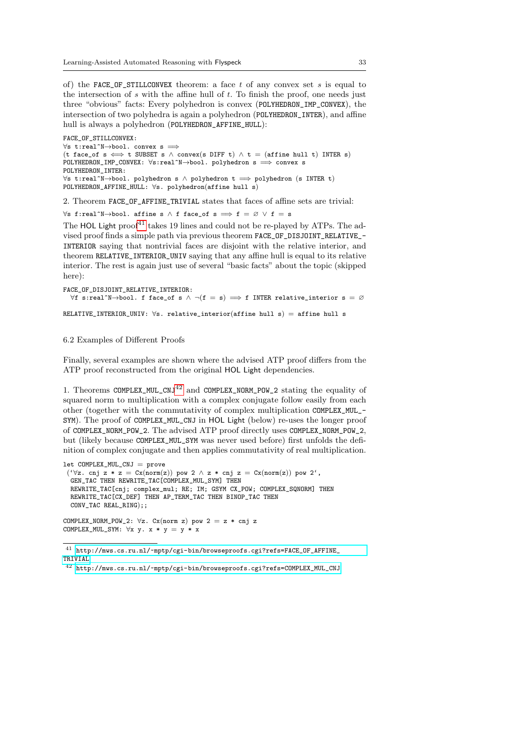of) the FACE\_OF\_STILLCONVEX theorem: a face  $t$  of any convex set  $s$  is equal to the intersection of  $s$  with the affine hull of  $t$ . To finish the proof, one needs just three "obvious" facts: Every polyhedron is convex (POLYHEDRON\_IMP\_CONVEX), the intersection of two polyhedra is again a polyhedron (POLYHEDRON\_INTER), and affine hull is always a polyhedron (POLYHEDRON\_AFFINE\_HULL):

```
FACE_OF_STILLCONVEX:
\forall s t:real^N→bool. convex s \Longrightarrow(t face_of s \iff t SUBSET s \land convex(s DIFF t) \land t = (affine hull t) INTER s)
POLYHEDRON_IMP_CONVEX: \foralls:real^N→bool. polyhedron s =⇒ convex s
POLYHEDRON_INTER:
\foralls t:real^N→bool. polyhedron s \land polyhedron t \implies polyhedron (s INTER t)
POLYHEDRON_AFFINE_HULL: ∀s. polyhedron(affine hull s)
```
2. Theorem FACE\_OF\_AFFINE\_TRIVIAL states that faces of affine sets are trivial:

 $\forall$ s f:real^N→bool. affine s ∧ f face\_of s  $\implies$  f = ∅  $\lor$  f = s

The HOL Light proof<sup>[41](#page-32-0)</sup> takes 19 lines and could not be re-played by ATPs. The advised proof finds a simple path via previous theorem FACE\_OF\_DISJOINT\_RELATIVE\_- INTERIOR saying that nontrivial faces are disjoint with the relative interior, and theorem RELATIVE\_INTERIOR\_UNIV saying that any affine hull is equal to its relative interior. The rest is again just use of several "basic facts" about the topic (skipped here):

```
FACE_OF_DISJOINT_RELATIVE_INTERIOR:
  \forallf s:real^N→bool. f face_of s \land \neg(f = s) \implies f INTER relative_interior s = ∅
RELATIVE_INTERIOR_UNIV: \forall s. relative_interior(affine hull s) = affine hull s
```
## 6.2 Examples of Different Proofs

Finally, several examples are shown where the advised ATP proof differs from the ATP proof reconstructed from the original HOL Light dependencies.

1. Theorems COMPLEX\_MUL\_CNJ<sup>[42](#page-32-1)</sup> and COMPLEX\_NORM\_POW\_2 stating the equality of squared norm to multiplication with a complex conjugate follow easily from each other (together with the commutativity of complex multiplication COMPLEX\_MUL\_- SYM). The proof of COMPLEX\_MUL\_CNJ in HOL Light (below) re-uses the longer proof of COMPLEX\_NORM\_POW\_2. The advised ATP proof directly uses COMPLEX\_NORM\_POW\_2, but (likely because COMPLEX\_MUL\_SYM was never used before) first unfolds the definition of complex conjugate and then applies commutativity of real multiplication.

```
let COMPLEX_MUL_CNJ = prove
 ('\forall z. cnj z * z = Cx(norm(z)) pow 2 \land z * cnj z = Cx(norm(z)) pow 2',
  GEN_TAC THEN REWRITE_TAC[COMPLEX_MUL_SYM] THEN
  REWRITE_TAC[cnj; complex_mul; RE; IM; GSYM CX_POW; COMPLEX_SQNORM] THEN
  REWRITE_TAC[CX_DEF] THEN AP_TERM_TAC THEN BINOP_TAC THEN
  CONV TAC REAL RING)::
```
COMPLEX\_NORM\_POW\_2:  $\forall z$ . Cx(norm z) pow 2 = z \* cnj z COMPLEX\_MUL\_SYM:  $\forall x \ y. \ x * y = y * x$ 

<span id="page-32-0"></span> $^{41}$ [http://mws.cs.ru.nl/~mptp/cgi-bin/browseproofs.cgi?refs=FACE\\_OF\\_AFFINE\\_](http://mws.cs.ru.nl/~mptp/cgi-bin/browseproofs.cgi?refs=FACE_OF_AFFINE_TRIVIAL) [TRIVIAL](http://mws.cs.ru.nl/~mptp/cgi-bin/browseproofs.cgi?refs=FACE_OF_AFFINE_TRIVIAL)

<span id="page-32-1"></span><sup>42</sup> [http://mws.cs.ru.nl/~mptp/cgi-bin/browseproofs.cgi?refs=COMPLEX\\_MUL\\_CNJ](http://mws.cs.ru.nl/~mptp/cgi-bin/browseproofs.cgi?refs=COMPLEX_MUL_CNJ)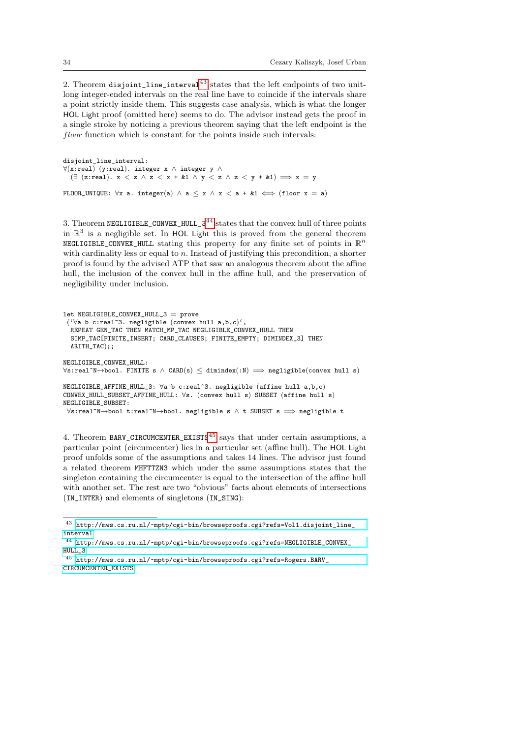2. Theorem disjoint\_line\_interval $^{43}$  $^{43}$  $^{43}$  states that the left endpoints of two unitlong integer-ended intervals on the real line have to coincide if the intervals share a point strictly inside them. This suggests case analysis, which is what the longer HOL Light proof (omitted here) seems to do. The advisor instead gets the proof in a single stroke by noticing a previous theorem saying that the left endpoint is the floor function which is constant for the points inside such intervals:

disjoint line interval: ∀(x:real) (y:real). integer x ∧ integer y ∧  $(\exists$  (z:real).  $x < z \land z < x + k1 \land y < z \land z < y + k1) \implies x = y$ FLOOR\_UNIQUE:  $\forall x$  a. integer(a)  $\land$  a  $\leq x \land x <$  a + &1  $\iff$  (floor  $x = a$ )

3. Theorem NEGLIGIBLE\_CONVEX\_HULL\_3<sup>[44](#page-33-1)</sup> states that the convex hull of three points in  $\mathbb{R}^3$  is a negligible set. In HOL Light this is proved from the general theorem NEGLIGIBLE\_CONVEX\_HULL stating this property for any finite set of points in  $\mathbb{R}^n$ with cardinality less or equal to  $n$ . Instead of justifying this precondition, a shorter proof is found by the advised ATP that saw an analogous theorem about the affine hull, the inclusion of the convex hull in the affine hull, and the preservation of negligibility under inclusion.

```
let NEGLIGIBLE_CONVEX_HULL_3 = prove
 ('∀a b c:real^3. negligible (convex hull a,b,c)',
  REPEAT GEN_TAC THEN MATCH_MP_TAC NEGLIGIBLE_CONVEX_HULL THEN
  SIMP_TAC[FINITE_INSERT; CARD_CLAUSES; FINITE_EMPTY; DIMINDEX_3] THEN
  ARITH TAC);;
NEGLIGIBLE_CONVEX_HULL:
\foralls:real^N→bool. FINITE s \land CARD(s) \leq dimindex(:N) \implies negligible(convex hull s)
NEGLIGIBLE_AFFINE_HULL_3: ∀a b c:real^3. negligible (affine hull a,b,c)
CONVEX_HULL_SUBSET_AFFINE_HULL: ∀s. (convex hull s) SUBSET (affine hull s)
NEGLIGIBLE_SUBSET:
\foralls:real^N→bool t:real^N→bool. negligible s \land t SUBSET s \implies negligible t
```
4. Theorem BARV\_CIRCUMCENTER\_EXISTS<sup>[45](#page-33-2)</sup> says that under certain assumptions, a particular point (circumcenter) lies in a particular set (affine hull). The HOL Light proof unfolds some of the assumptions and takes 14 lines. The advisor just found a related theorem MHFTTZN3 which under the same assumptions states that the singleton containing the circumcenter is equal to the intersection of the affine hull with another set. The rest are two "obvious" facts about elements of intersections (IN\_INTER) and elements of singletons (IN\_SING):

<span id="page-33-0"></span><sup>43</sup> [http://mws.cs.ru.nl/~mptp/cgi-bin/browseproofs.cgi?refs=Vol1.disjoint\\_line\\_](http://mws.cs.ru.nl/~mptp/cgi-bin/browseproofs.cgi?refs=Vol1.disjoint_line_interval) [interval](http://mws.cs.ru.nl/~mptp/cgi-bin/browseproofs.cgi?refs=Vol1.disjoint_line_interval)

<span id="page-33-1"></span><sup>44</sup> [http://mws.cs.ru.nl/~mptp/cgi-bin/browseproofs.cgi?refs=NEGLIGIBLE\\_CONVEX\\_](http://mws.cs.ru.nl/~mptp/cgi-bin/browseproofs.cgi?refs=NEGLIGIBLE_CONVEX_HULL_3) [HULL\\_3](http://mws.cs.ru.nl/~mptp/cgi-bin/browseproofs.cgi?refs=NEGLIGIBLE_CONVEX_HULL_3)

<span id="page-33-2"></span> $^{45}$ [http://mws.cs.ru.nl/~mptp/cgi-bin/browseproofs.cgi?refs=Rogers.BARV\\_](http://mws.cs.ru.nl/~mptp/cgi-bin/browseproofs.cgi?refs=Rogers.BARV_CIRCUMCENTER_EXISTS) [CIRCUMCENTER\\_EXISTS](http://mws.cs.ru.nl/~mptp/cgi-bin/browseproofs.cgi?refs=Rogers.BARV_CIRCUMCENTER_EXISTS)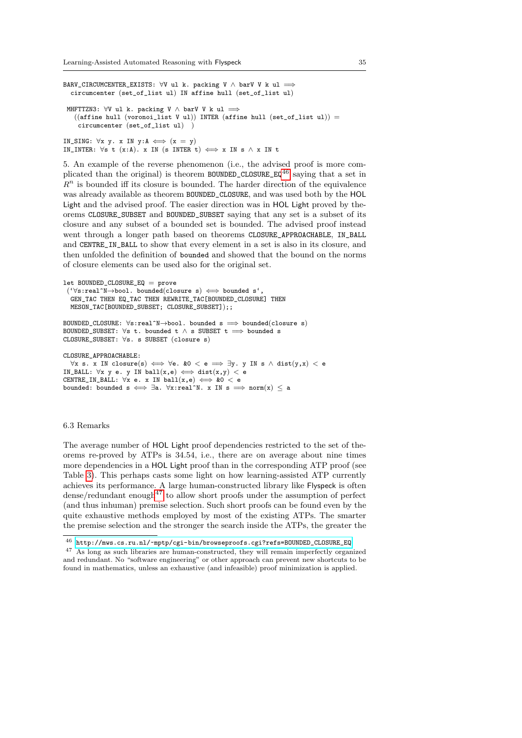BARV\_CIRCUMCENTER\_EXISTS:  $\forall V$  ul k. packing V  $\land$  barV V k ul  $\implies$ circumcenter (set\_of\_list ul) IN affine hull (set\_of\_list ul) MHFTTZN3:  $\forall V$  ul k. packing V  $\land$  barV V k ul  $\implies$  $((affine hull (voronoi_list V ul)) INTER (affine hull (set_of_list ul)) =$ circumcenter (set\_of\_list ul) )

IN\_SING:  $\forall x \ y. x \ IN y:A \iff (x = y)$ IN\_INTER:  $\forall s$  t (x:A). x IN (s INTER t)  $\iff$  x IN s  $\land$  x IN t

5. An example of the reverse phenomenon (i.e., the advised proof is more com-plicated than the original) is theorem BOUNDED\_CLOSURE\_EQ<sup>[46](#page-34-0)</sup> saying that a set in  $R<sup>n</sup>$  is bounded iff its closure is bounded. The harder direction of the equivalence was already available as theorem BOUNDED\_CLOSURE, and was used both by the HOL Light and the advised proof. The easier direction was in HOL Light proved by theorems CLOSURE\_SUBSET and BOUNDED\_SUBSET saying that any set is a subset of its closure and any subset of a bounded set is bounded. The advised proof instead went through a longer path based on theorems CLOSURE\_APPROACHABLE, IN\_BALL and CENTRE\_IN\_BALL to show that every element in a set is also in its closure, and then unfolded the definition of bounded and showed that the bound on the norms of closure elements can be used also for the original set.

```
let BOUNDED_CLOSURE_EQ = prove
 (\forall s:real^*N\rightarrow bool. bounded(closure s) \iff bounded s'
  GEN_TAC THEN EQ_TAC THEN REWRITE_TAC[BOUNDED_CLOSURE] THEN
  MESON_TAC[BOUNDED_SUBSET; CLOSURE_SUBSET]);;
BOUNDED CLOSURE: \forall s:real^n\rightarrow bool. bounded s \implies bounded(closure s)
```
BOUNDED\_SUBSET:  $\forall s$  t. bounded t  $\land$  s SUBSET t  $\implies$  bounded s CLOSURE\_SUBSET: ∀s. s SUBSET (closure s)

CLOSURE\_APPROACHABLE:

```
\forall x s. x IN closure(s) \iff \forall e \cdot k0 < e \implies \exists y \cdot y IN s ∧ dist(y, x) < e
IN_BALL: \forall x \ y \ e. \ y \ IN \ ball(x,e) \iff \text{dist}(x,y) < eCENTRE_IN_BALL: \forall x e. x IN ball(x,e) \iff \&0 < ebounded: bounded s \iff \exists a. \forall x : real^N. x \in \mathbb{N} s \implies norm(x) \le a
```
### 6.3 Remarks

The average number of HOL Light proof dependencies restricted to the set of theorems re-proved by ATPs is 34.54, i.e., there are on average about nine times more dependencies in a HOL Light proof than in the corresponding ATP proof (see Table [3\)](#page-20-1). This perhaps casts some light on how learning-assisted ATP currently achieves its performance. A large human-constructed library like Flyspeck is often  $dense/redundant enough<sup>47</sup>$  $dense/redundant enough<sup>47</sup>$  $dense/redundant enough<sup>47</sup>$  to allow short proofs under the assumption of perfect (and thus inhuman) premise selection. Such short proofs can be found even by the quite exhaustive methods employed by most of the existing ATPs. The smarter the premise selection and the stronger the search inside the ATPs, the greater the

<span id="page-34-0"></span> $^{46}$  [http://mws.cs.ru.nl/~mptp/cgi-bin/browseproofs.cgi?refs=BOUNDED\\_CLOSURE\\_EQ](http://mws.cs.ru.nl/~mptp/cgi-bin/browseproofs.cgi?refs=BOUNDED_CLOSURE_EQ)

<span id="page-34-1"></span><sup>47</sup> As long as such libraries are human-constructed, they will remain imperfectly organized and redundant. No "software engineering" or other approach can prevent new shortcuts to be found in mathematics, unless an exhaustive (and infeasible) proof minimization is applied.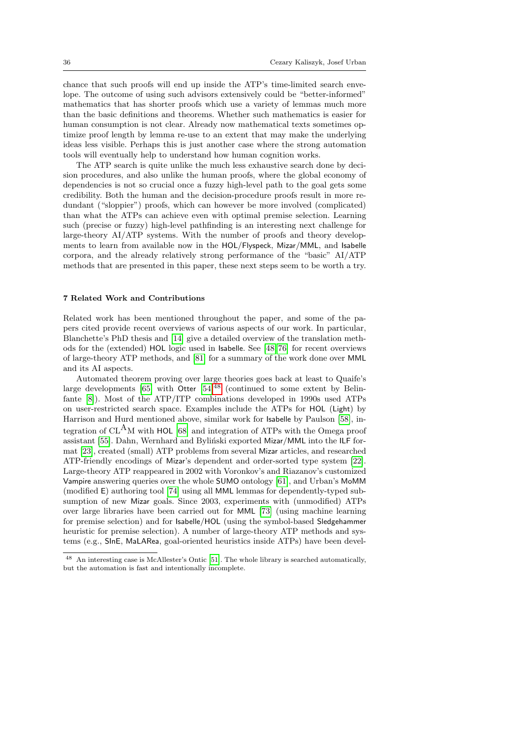chance that such proofs will end up inside the ATP's time-limited search envelope. The outcome of using such advisors extensively could be "better-informed" mathematics that has shorter proofs which use a variety of lemmas much more than the basic definitions and theorems. Whether such mathematics is easier for human consumption is not clear. Already now mathematical texts sometimes optimize proof length by lemma re-use to an extent that may make the underlying ideas less visible. Perhaps this is just another case where the strong automation tools will eventually help to understand how human cognition works.

The ATP search is quite unlike the much less exhaustive search done by decision procedures, and also unlike the human proofs, where the global economy of dependencies is not so crucial once a fuzzy high-level path to the goal gets some credibility. Both the human and the decision-procedure proofs result in more redundant ("sloppier") proofs, which can however be more involved (complicated) than what the ATPs can achieve even with optimal premise selection. Learning such (precise or fuzzy) high-level pathfinding is an interesting next challenge for large-theory AI/ATP systems. With the number of proofs and theory developments to learn from available now in the HOL/Flyspeck, Mizar/MML, and Isabelle corpora, and the already relatively strong performance of the "basic" AI/ATP methods that are presented in this paper, these next steps seem to be worth a try.

## <span id="page-35-0"></span>7 Related Work and Contributions

Related work has been mentioned throughout the paper, and some of the papers cited provide recent overviews of various aspects of our work. In particular, Blanchette's PhD thesis and [\[14\]](#page-38-15) give a detailed overview of the translation methods for the (extended) HOL logic used in Isabelle. See [\[48,](#page-40-16) [76\]](#page-41-3) for recent overviews of large-theory ATP methods, and [\[81\]](#page-41-14) for a summary of the work done over MML and its AI aspects.

Automated theorem proving over large theories goes back at least to Quaife's large developments  $[65]$  with Otter  $[54]^{48}$  $[54]^{48}$  $[54]^{48}$  $[54]^{48}$  (continued to some extent by Belinfante [\[8\]](#page-38-16)). Most of the ATP/ITP combinations developed in 1990s used ATPs on user-restricted search space. Examples include the ATPs for HOL (Light) by Harrison and Hurd mentioned above, similar work for Isabelle by Paulson [\[58\]](#page-40-20), integration of  $CL<sup>A</sup>M$  with HOL [\[68\]](#page-40-21) and integration of ATPs with the Omega proof assistant [\[55\]](#page-40-22). Dahn, Wernhard and Byliński exported Mizar/MML into the ILF format [\[23\]](#page-38-17), created (small) ATP problems from several Mizar articles, and researched ATP-friendly encodings of Mizar's dependent and order-sorted type system [\[22\]](#page-38-18). Large-theory ATP reappeared in 2002 with Voronkov's and Riazanov's customized Vampire answering queries over the whole SUMO ontology [\[61\]](#page-40-23), and Urban's MoMM (modified E) authoring tool [\[74\]](#page-41-15) using all MML lemmas for dependently-typed subsumption of new Mizar goals. Since 2003, experiments with (unmodified) ATPs over large libraries have been carried out for MML [\[73\]](#page-41-9) (using machine learning for premise selection) and for Isabelle/HOL (using the symbol-based Sledgehammer heuristic for premise selection). A number of large-theory ATP methods and systems (e.g., SInE, MaLARea, goal-oriented heuristics inside ATPs) have been devel-

<span id="page-35-1"></span><sup>48</sup> An interesting case is McAllester's Ontic [\[51\]](#page-40-24). The whole library is searched automatically, but the automation is fast and intentionally incomplete.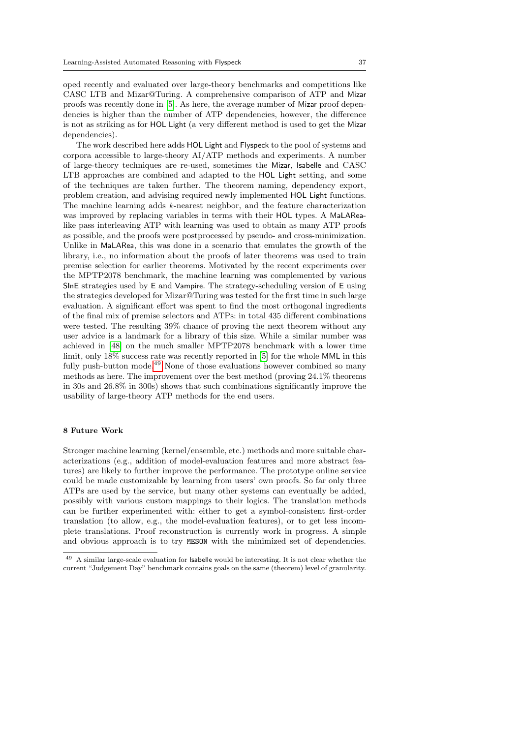oped recently and evaluated over large-theory benchmarks and competitions like CASC LTB and Mizar@Turing. A comprehensive comparison of ATP and Mizar proofs was recently done in [\[5\]](#page-38-14). As here, the average number of Mizar proof dependencies is higher than the number of ATP dependencies, however, the difference is not as striking as for HOL Light (a very different method is used to get the Mizar dependencies).

The work described here adds HOL Light and Flyspeck to the pool of systems and corpora accessible to large-theory AI/ATP methods and experiments. A number of large-theory techniques are re-used, sometimes the Mizar, Isabelle and CASC LTB approaches are combined and adapted to the HOL Light setting, and some of the techniques are taken further. The theorem naming, dependency export, problem creation, and advising required newly implemented HOL Light functions. The machine learning adds k-nearest neighbor, and the feature characterization was improved by replacing variables in terms with their HOL types. A MaLARealike pass interleaving ATP with learning was used to obtain as many ATP proofs as possible, and the proofs were postprocessed by pseudo- and cross-minimization. Unlike in MaLARea, this was done in a scenario that emulates the growth of the library, i.e., no information about the proofs of later theorems was used to train premise selection for earlier theorems. Motivated by the recent experiments over the MPTP2078 benchmark, the machine learning was complemented by various SInE strategies used by E and Vampire. The strategy-scheduling version of E using the strategies developed for Mizar@Turing was tested for the first time in such large evaluation. A significant effort was spent to find the most orthogonal ingredients of the final mix of premise selectors and ATPs: in total 435 different combinations were tested. The resulting 39% chance of proving the next theorem without any user advice is a landmark for a library of this size. While a similar number was achieved in [\[48\]](#page-40-16) on the much smaller MPTP2078 benchmark with a lower time limit, only 18% success rate was recently reported in [\[5\]](#page-38-14) for the whole MML in this fully push-button mode.<sup>[49](#page-36-1)</sup> None of those evaluations however combined so many methods as here. The improvement over the best method (proving 24.1% theorems in 30s and 26.8% in 300s) shows that such combinations significantly improve the usability of large-theory ATP methods for the end users.

## <span id="page-36-0"></span>8 Future Work

Stronger machine learning (kernel/ensemble, etc.) methods and more suitable characterizations (e.g., addition of model-evaluation features and more abstract features) are likely to further improve the performance. The prototype online service could be made customizable by learning from users' own proofs. So far only three ATPs are used by the service, but many other systems can eventually be added, possibly with various custom mappings to their logics. The translation methods can be further experimented with: either to get a symbol-consistent first-order translation (to allow, e.g., the model-evaluation features), or to get less incomplete translations. Proof reconstruction is currently work in progress. A simple and obvious approach is to try MESON with the minimized set of dependencies.

<span id="page-36-1"></span><sup>49</sup> A similar large-scale evaluation for Isabelle would be interesting. It is not clear whether the current "Judgement Day" benchmark contains goals on the same (theorem) level of granularity.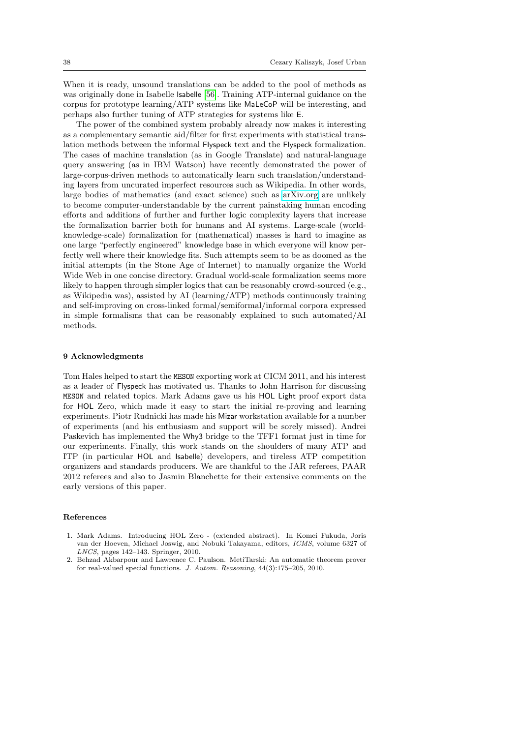When it is ready, unsound translations can be added to the pool of methods as was originally done in Isabelle Isabelle [\[56\]](#page-40-11). Training ATP-internal guidance on the corpus for prototype learning/ATP systems like MaLeCoP will be interesting, and perhaps also further tuning of ATP strategies for systems like E.

The power of the combined system probably already now makes it interesting as a complementary semantic aid/filter for first experiments with statistical translation methods between the informal Flyspeck text and the Flyspeck formalization. The cases of machine translation (as in Google Translate) and natural-language query answering (as in IBM Watson) have recently demonstrated the power of large-corpus-driven methods to automatically learn such translation/understanding layers from uncurated imperfect resources such as Wikipedia. In other words, large bodies of mathematics (and exact science) such as [arXiv.org](http://arxiv.org) are unlikely to become computer-understandable by the current painstaking human encoding efforts and additions of further and further logic complexity layers that increase the formalization barrier both for humans and AI systems. Large-scale (worldknowledge-scale) formalization for (mathematical) masses is hard to imagine as one large "perfectly engineered" knowledge base in which everyone will know perfectly well where their knowledge fits. Such attempts seem to be as doomed as the initial attempts (in the Stone Age of Internet) to manually organize the World Wide Web in one concise directory. Gradual world-scale formalization seems more likely to happen through simpler logics that can be reasonably crowd-sourced (e.g., as Wikipedia was), assisted by AI (learning/ATP) methods continuously training and self-improving on cross-linked formal/semiformal/informal corpora expressed in simple formalisms that can be reasonably explained to such automated/AI methods.

#### 9 Acknowledgments

Tom Hales helped to start the MESON exporting work at CICM 2011, and his interest as a leader of Flyspeck has motivated us. Thanks to John Harrison for discussing MESON and related topics. Mark Adams gave us his HOL Light proof export data for HOL Zero, which made it easy to start the initial re-proving and learning experiments. Piotr Rudnicki has made his Mizar workstation available for a number of experiments (and his enthusiasm and support will be sorely missed). Andrei Paskevich has implemented the Why3 bridge to the TFF1 format just in time for our experiments. Finally, this work stands on the shoulders of many ATP and ITP (in particular HOL and Isabelle) developers, and tireless ATP competition organizers and standards producers. We are thankful to the JAR referees, PAAR 2012 referees and also to Jasmin Blanchette for their extensive comments on the early versions of this paper.

## References

- <span id="page-37-1"></span>1. Mark Adams. Introducing HOL Zero - (extended abstract). In Komei Fukuda, Joris van der Hoeven, Michael Joswig, and Nobuki Takayama, editors, ICMS, volume 6327 of LNCS, pages 142–143. Springer, 2010.
- <span id="page-37-0"></span>2. Behzad Akbarpour and Lawrence C. Paulson. MetiTarski: An automatic theorem prover for real-valued special functions. J. Autom. Reasoning, 44(3):175–205, 2010.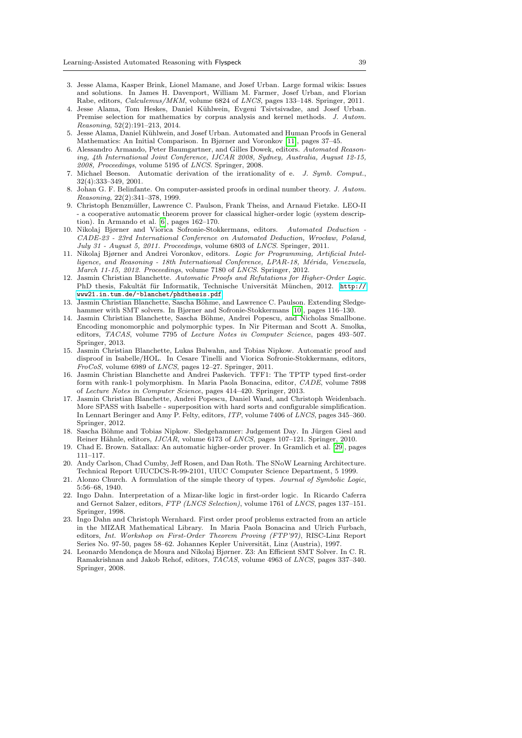- <span id="page-38-13"></span>3. Jesse Alama, Kasper Brink, Lionel Mamane, and Josef Urban. Large formal wikis: Issues and solutions. In James H. Davenport, William M. Farmer, Josef Urban, and Florian Rabe, editors, Calculemus/MKM, volume 6824 of LNCS, pages 133–148. Springer, 2011.
- <span id="page-38-10"></span>4. Jesse Alama, Tom Heskes, Daniel Kühlwein, Evgeni Tsivtsivadze, and Josef Urban. Premise selection for mathematics by corpus analysis and kernel methods. J. Autom. Reasoning, 52(2):191–213, 2014.
- <span id="page-38-14"></span>5. Jesse Alama, Daniel Kühlwein, and Josef Urban. Automated and Human Proofs in General Mathematics: An Initial Comparison. In Bjørner and Voronkov [\[11\]](#page-38-19), pages 37–45.
- <span id="page-38-20"></span>6. Alessandro Armando, Peter Baumgartner, and Gilles Dowek, editors. Automated Reasoning, 4th International Joint Conference, IJCAR 2008, Sydney, Australia, August 12-15, 2008, Proceedings, volume 5195 of LNCS. Springer, 2008.
- <span id="page-38-3"></span>7. Michael Beeson. Automatic derivation of the irrationality of e. J. Symb. Comput., 32(4):333–349, 2001.
- <span id="page-38-16"></span>8. Johan G. F. Belinfante. On computer-assisted proofs in ordinal number theory. J. Autom. Reasoning, 22(2):341–378, 1999.
- <span id="page-38-8"></span>9. Christoph Benzmüller, Lawrence C. Paulson, Frank Theiss, and Arnaud Fietzke. LEO-II - a cooperative automatic theorem prover for classical higher-order logic (system description). In Armando et al. [\[6\]](#page-38-20), pages 162–170.
- <span id="page-38-21"></span>10. Nikolaj Bjørner and Viorica Sofronie-Stokkermans, editors. Automated Deduction - CADE-23 - 23rd International Conference on Automated Deduction, Wrocław, Poland, July 31 - August 5, 2011. Proceedings, volume 6803 of LNCS. Springer, 2011.
- <span id="page-38-19"></span>11. Nikolaj Bjørner and Andrei Voronkov, editors. Logic for Programming, Artificial Intelligence, and Reasoning - 18th International Conference, LPAR-18, Mérida, Venezuela, March 11-15, 2012. Proceedings, volume 7180 of LNCS. Springer, 2012.
- <span id="page-38-5"></span>12. Jasmin Christian Blanchette. Automatic Proofs and Refutations for Higher-Order Logic. PhD thesis, Fakultät für Informatik, Technische Universität München, 2012. [http://](http://www21.in.tum.de/~blanchet/phdthesis.pdf) [www21.in.tum.de/~blanchet/phdthesis.pdf](http://www21.in.tum.de/~blanchet/phdthesis.pdf).
- <span id="page-38-1"></span>13. Jasmin Christian Blanchette, Sascha Böhme, and Lawrence C. Paulson. Extending Sledgehammer with SMT solvers. In Bjørner and Sofronie-Stokkermans [\[10\]](#page-38-21), pages 116–130.
- <span id="page-38-15"></span>14. Jasmin Christian Blanchette, Sascha Böhme, Andrei Popescu, and Nicholas Smallbone. Encoding monomorphic and polymorphic types. In Nir Piterman and Scott A. Smolka, editors, TACAS, volume 7795 of Lecture Notes in Computer Science, pages 493–507. Springer, 2013.
- <span id="page-38-2"></span>15. Jasmin Christian Blanchette, Lukas Bulwahn, and Tobias Nipkow. Automatic proof and disproof in Isabelle/HOL. In Cesare Tinelli and Viorica Sofronie-Stokkermans, editors, FroCoS, volume 6989 of LNCS, pages 12–27. Springer, 2011.
- <span id="page-38-4"></span>16. Jasmin Christian Blanchette and Andrei Paskevich. TFF1: The TPTP typed first-order form with rank-1 polymorphism. In Maria Paola Bonacina, editor, CADE, volume 7898 of Lecture Notes in Computer Science, pages 414–420. Springer, 2013.
- <span id="page-38-7"></span>17. Jasmin Christian Blanchette, Andrei Popescu, Daniel Wand, and Christoph Weidenbach. More SPASS with Isabelle - superposition with hard sorts and configurable simplification. In Lennart Beringer and Amy P. Felty, editors, ITP, volume 7406 of LNCS, pages 345–360. Springer, 2012.
- <span id="page-38-11"></span>18. Sascha Böhme and Tobias Nipkow. Sledgehammer: Judgement Day. In Jürgen Giesl and Reiner Hähnle, editors, IJCAR, volume 6173 of LNCS, pages 107-121. Springer, 2010.
- <span id="page-38-9"></span>19. Chad E. Brown. Satallax: An automatic higher-order prover. In Gramlich et al. [\[29\]](#page-39-20), pages 111–117.
- <span id="page-38-12"></span>20. Andy Carlson, Chad Cumby, Jeff Rosen, and Dan Roth. The SNoW Learning Architecture. Technical Report UIUCDCS-R-99-2101, UIUC Computer Science Department, 5 1999.
- <span id="page-38-6"></span>21. Alonzo Church. A formulation of the simple theory of types. Journal of Symbolic Logic, 5:56–68, 1940.
- <span id="page-38-18"></span>22. Ingo Dahn. Interpretation of a Mizar-like logic in first-order logic. In Ricardo Caferra and Gernot Salzer, editors, FTP (LNCS Selection), volume 1761 of LNCS, pages 137–151. Springer, 1998.
- <span id="page-38-17"></span>23. Ingo Dahn and Christoph Wernhard. First order proof problems extracted from an article in the MIZAR Mathematical Library. In Maria Paola Bonacina and Ulrich Furbach, editors, Int. Workshop on First-Order Theorem Proving (FTP'97), RISC-Linz Report Series No. 97-50, pages 58–62. Johannes Kepler Universität, Linz (Austria), 1997.
- <span id="page-38-0"></span>24. Leonardo Mendonça de Moura and Nikolaj Bjørner. Z3: An Efficient SMT Solver. In C. R. Ramakrishnan and Jakob Rehof, editors, TACAS, volume 4963 of LNCS, pages 337–340. Springer, 2008.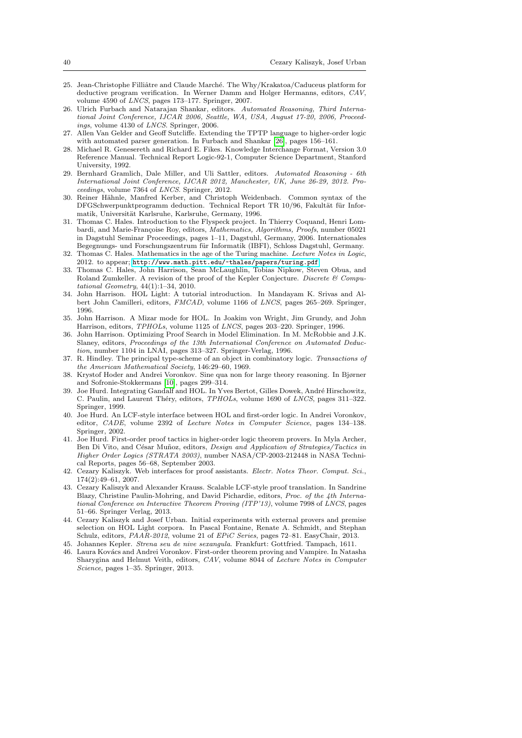- <span id="page-39-16"></span>25. Jean-Christophe Filliâtre and Claude Marché. The Why/Krakatoa/Caduceus platform for deductive program verification. In Werner Damm and Holger Hermanns, editors, CAV, volume 4590 of LNCS, pages 173–177. Springer, 2007.
- <span id="page-39-21"></span>26. Ulrich Furbach and Natarajan Shankar, editors. Automated Reasoning, Third International Joint Conference, IJCAR 2006, Seattle, WA, USA, August 17-20, 2006, Proceedings, volume 4130 of LNCS. Springer, 2006.
- <span id="page-39-2"></span>27. Allen Van Gelder and Geoff Sutcliffe. Extending the TPTP language to higher-order logic with automated parser generation. In Furbach and Shankar [\[26\]](#page-39-21), pages 156–161.
- <span id="page-39-15"></span>28. Michael R. Genesereth and Richard E. Fikes. Knowledge Interchange Format, Version 3.0 Reference Manual. Technical Report Logic-92-1, Computer Science Department, Stanford University, 1992.
- <span id="page-39-20"></span>29. Bernhard Gramlich, Dale Miller, and Uli Sattler, editors. Automated Reasoning - 6th International Joint Conference, IJCAR 2012, Manchester, UK, June 26-29, 2012. Proceedings, volume 7364 of LNCS. Springer, 2012.
- <span id="page-39-14"></span>30. Reiner Hähnle, Manfred Kerber, and Christoph Weidenbach. Common syntax of the DFGSchwerpunktprogramm deduction. Technical Report TR 10/96, Fakultät für Informatik, Universität Karlsruhe, Karlsruhe, Germany, 1996.
- <span id="page-39-9"></span>31. Thomas C. Hales. Introduction to the Flyspeck project. In Thierry Coquand, Henri Lombardi, and Marie-Françoise Roy, editors, Mathematics, Algorithms, Proofs, number 05021 in Dagstuhl Seminar Proceedings, pages 1–11, Dagstuhl, Germany, 2006. Internationales Begegnungs- und Forschungszentrum für Informatik (IBFI), Schloss Dagstuhl, Germany.
- <span id="page-39-8"></span>32. Thomas C. Hales. Mathematics in the age of the Turing machine. Lecture Notes in Logic, 2012. to appear; <http://www.math.pitt.edu/~thales/papers/turing.pdf>.
- <span id="page-39-11"></span>33. Thomas C. Hales, John Harrison, Sean McLaughlin, Tobias Nipkow, Steven Obua, and Roland Zumkeller. A revision of the proof of the Kepler Conjecture. Discrete & Computational Geometry, 44(1):1–34, 2010.
- <span id="page-39-3"></span>34. John Harrison. HOL Light: A tutorial introduction. In Mandayam K. Srivas and Albert John Camilleri, editors, FMCAD, volume 1166 of LNCS, pages 265–269. Springer, 1996.
- <span id="page-39-10"></span>35. John Harrison. A Mizar mode for HOL. In Joakim von Wright, Jim Grundy, and John Harrison, editors, TPHOLs, volume 1125 of LNCS, pages 203–220. Springer, 1996.
- <span id="page-39-4"></span>36. John Harrison. Optimizing Proof Search in Model Elimination. In M. McRobbie and J.K. Slaney, editors, Proceedings of the 13th International Conference on Automated Deduction, number 1104 in LNAI, pages 313–327. Springer-Verlag, 1996.
- <span id="page-39-17"></span>37. R. Hindley. The principal type-scheme of an object in combinatory logic. Transactions of the American Mathematical Society, 146:29–60, 1969.
- <span id="page-39-1"></span>38. Krystof Hoder and Andrei Voronkov. Sine qua non for large theory reasoning. In Bjørner and Sofronie-Stokkermans [\[10\]](#page-38-21), pages 299–314.
- <span id="page-39-5"></span>39. Joe Hurd. Integrating Gandalf and HOL. In Yves Bertot, Gilles Dowek, André Hirschowitz, C. Paulin, and Laurent Théry, editors, TPHOLs, volume 1690 of LNCS, pages 311-322. Springer, 1999.
- <span id="page-39-6"></span>40. Joe Hurd. An LCF-style interface between HOL and first-order logic. In Andrei Voronkov, editor, CADE, volume 2392 of Lecture Notes in Computer Science, pages 134–138. Springer, 2002.
- <span id="page-39-7"></span>41. Joe Hurd. First-order proof tactics in higher-order logic theorem provers. In Myla Archer, Ben Di Vito, and César Muñoz, editors, Design and Application of Strategies/Tactics in Higher Order Logics (STRATA 2003), number NASA/CP-2003-212448 in NASA Technical Reports, pages 56–68, September 2003.
- <span id="page-39-19"></span>42. Cezary Kaliszyk. Web interfaces for proof assistants. Electr. Notes Theor. Comput. Sci., 174(2):49–61, 2007.
- <span id="page-39-18"></span>43. Cezary Kaliszyk and Alexander Krauss. Scalable LCF-style proof translation. In Sandrine Blazy, Christine Paulin-Mohring, and David Pichardie, editors, Proc. of the 4th International Conference on Interactive Theorem Proving (ITP'13), volume 7998 of LNCS, pages 51–66. Springer Verlag, 2013.
- <span id="page-39-13"></span>44. Cezary Kaliszyk and Josef Urban. Initial experiments with external provers and premise selection on HOL Light corpora. In Pascal Fontaine, Renate A. Schmidt, and Stephan Schulz, editors, PAAR-2012, volume 21 of EPiC Series, pages 72-81. EasyChair, 2013.
- <span id="page-39-12"></span>45. Johannes Kepler. Strena seu de nive sexangula. Frankfurt: Gottfried. Tampach, 1611.
- <span id="page-39-0"></span>46. Laura Kovács and Andrei Voronkov. First-order theorem proving and Vampire. In Natasha Sharygina and Helmut Veith, editors, CAV, volume 8044 of Lecture Notes in Computer Science, pages 1–35. Springer, 2013.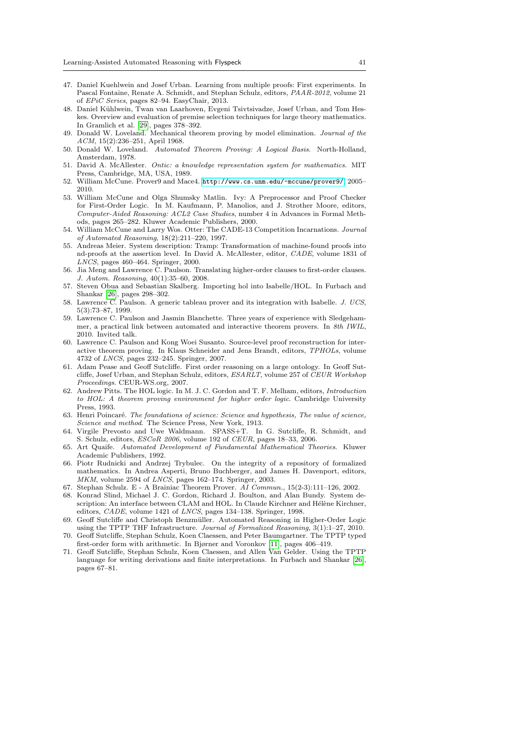- <span id="page-40-17"></span>47. Daniel Kuehlwein and Josef Urban. Learning from multiple proofs: First experiments. In Pascal Fontaine, Renate A. Schmidt, and Stephan Schulz, editors, PAAR-2012, volume 21 of EPiC Series, pages 82–94. EasyChair, 2013.
- <span id="page-40-16"></span>48. Daniel Kühlwein, Twan van Laarhoven, Evgeni Tsivtsivadze, Josef Urban, and Tom Heskes. Overview and evaluation of premise selection techniques for large theory mathematics. In Gramlich et al. [\[29\]](#page-39-20), pages 378–392.
- <span id="page-40-13"></span>49. Donald W. Loveland. Mechanical theorem proving by model elimination. Journal of the ACM, 15(2):236–251, April 1968.
- <span id="page-40-14"></span>50. Donald W. Loveland. Automated Theorem Proving: A Logical Basis. North-Holland, Amsterdam, 1978.
- <span id="page-40-24"></span>51. David A. McAllester. Ontic: a knowledge representation system for mathematics. MIT Press, Cambridge, MA, USA, 1989.
- <span id="page-40-7"></span>52. William McCune. Prover9 and Mace4. <http://www.cs.unm.edu/~mccune/prover9/>, 2005– 2010.
- <span id="page-40-6"></span>53. William McCune and Olga Shumsky Matlin. Ivy: A Preprocessor and Proof Checker for First-Order Logic. In M. Kaufmann, P. Manolios, and J. Strother Moore, editors, Computer-Aided Reasoning: ACL2 Case Studies, number 4 in Advances in Formal Methods, pages 265–282. Kluwer Academic Publishers, 2000.
- <span id="page-40-19"></span>54. William McCune and Larry Wos. Otter: The CADE-13 Competition Incarnations. Journal of Automated Reasoning, 18(2):211–220, 1997.
- <span id="page-40-22"></span>55. Andreas Meier. System description: Tramp: Transformation of machine-found proofs into nd-proofs at the assertion level. In David A. McAllester, editor, CADE, volume 1831 of LNCS, pages 460–464. Springer, 2000.
- <span id="page-40-11"></span>56. Jia Meng and Lawrence C. Paulson. Translating higher-order clauses to first-order clauses. J. Autom. Reasoning, 40(1):35–60, 2008.
- <span id="page-40-15"></span>57. Steven Obua and Sebastian Skalberg. Importing hol into Isabelle/HOL. In Furbach and Shankar [\[26\]](#page-39-21), pages 298–302.
- <span id="page-40-20"></span>58. Lawrence C. Paulson. A generic tableau prover and its integration with Isabelle. J. UCS, 5(3):73–87, 1999.
- <span id="page-40-4"></span>59. Lawrence C. Paulson and Jasmin Blanchette. Three years of experience with Sledgehammer, a practical link between automated and interactive theorem provers. In 8th IWIL, 2010. Invited talk.
- <span id="page-40-5"></span>60. Lawrence C. Paulson and Kong Woei Susanto. Source-level proof reconstruction for interactive theorem proving. In Klaus Schneider and Jens Brandt, editors, TPHOLs, volume 4732 of LNCS, pages 232–245. Springer, 2007.
- <span id="page-40-23"></span>61. Adam Pease and Geoff Sutcliffe. First order reasoning on a large ontology. In Geoff Sutcliffe, Josef Urban, and Stephan Schulz, editors, ESARLT, volume 257 of CEUR Workshop Proceedings. CEUR-WS.org, 2007.
- <span id="page-40-12"></span>62. Andrew Pitts. The HOL logic. In M. J. C. Gordon and T. F. Melham, editors, Introduction to HOL: A theorem proving environment for higher order logic. Cambridge University Press, 1993.
- <span id="page-40-0"></span>63. Henri Poincaré. The foundations of science: Science and hypothesis, The value of science, Science and method. The Science Press, New York, 1913.
- <span id="page-40-2"></span>64. Virgile Prevosto and Uwe Waldmann. SPASS+T. In G. Sutcliffe, R. Schmidt, and S. Schulz, editors, ESCoR 2006, volume 192 of CEUR, pages 18–33, 2006.
- <span id="page-40-18"></span>65. Art Quaife. Automated Development of Fundamental Mathematical Theories. Kluwer Academic Publishers, 1992.
- <span id="page-40-8"></span>66. Piotr Rudnicki and Andrzej Trybulec. On the integrity of a repository of formalized mathematics. In Andrea Asperti, Bruno Buchberger, and James H. Davenport, editors, MKM, volume 2594 of LNCS, pages 162-174. Springer, 2003.
- <span id="page-40-1"></span>67. Stephan Schulz. E - A Brainiac Theorem Prover. AI Commun., 15(2-3):111–126, 2002.
- <span id="page-40-21"></span>68. Konrad Slind, Michael J. C. Gordon, Richard J. Boulton, and Alan Bundy. System description: An interface between CLAM and HOL. In Claude Kirchner and Hélène Kirchner, editors, CADE, volume 1421 of LNCS, pages 134–138. Springer, 1998.
- <span id="page-40-10"></span>69. Geoff Sutcliffe and Christoph Benzmüller. Automated Reasoning in Higher-Order Logic using the TPTP THF Infrastructure. Journal of Formalized Reasoning, 3(1):1–27, 2010.
- <span id="page-40-3"></span>70. Geoff Sutcliffe, Stephan Schulz, Koen Claessen, and Peter Baumgartner. The TPTP typed first-order form with arithmetic. In Bjørner and Voronkov [\[11\]](#page-38-19), pages 406–419.
- <span id="page-40-9"></span>71. Geoff Sutcliffe, Stephan Schulz, Koen Claessen, and Allen Van Gelder. Using the TPTP language for writing derivations and finite interpretations. In Furbach and Shankar [\[26\]](#page-39-21), pages 67–81.